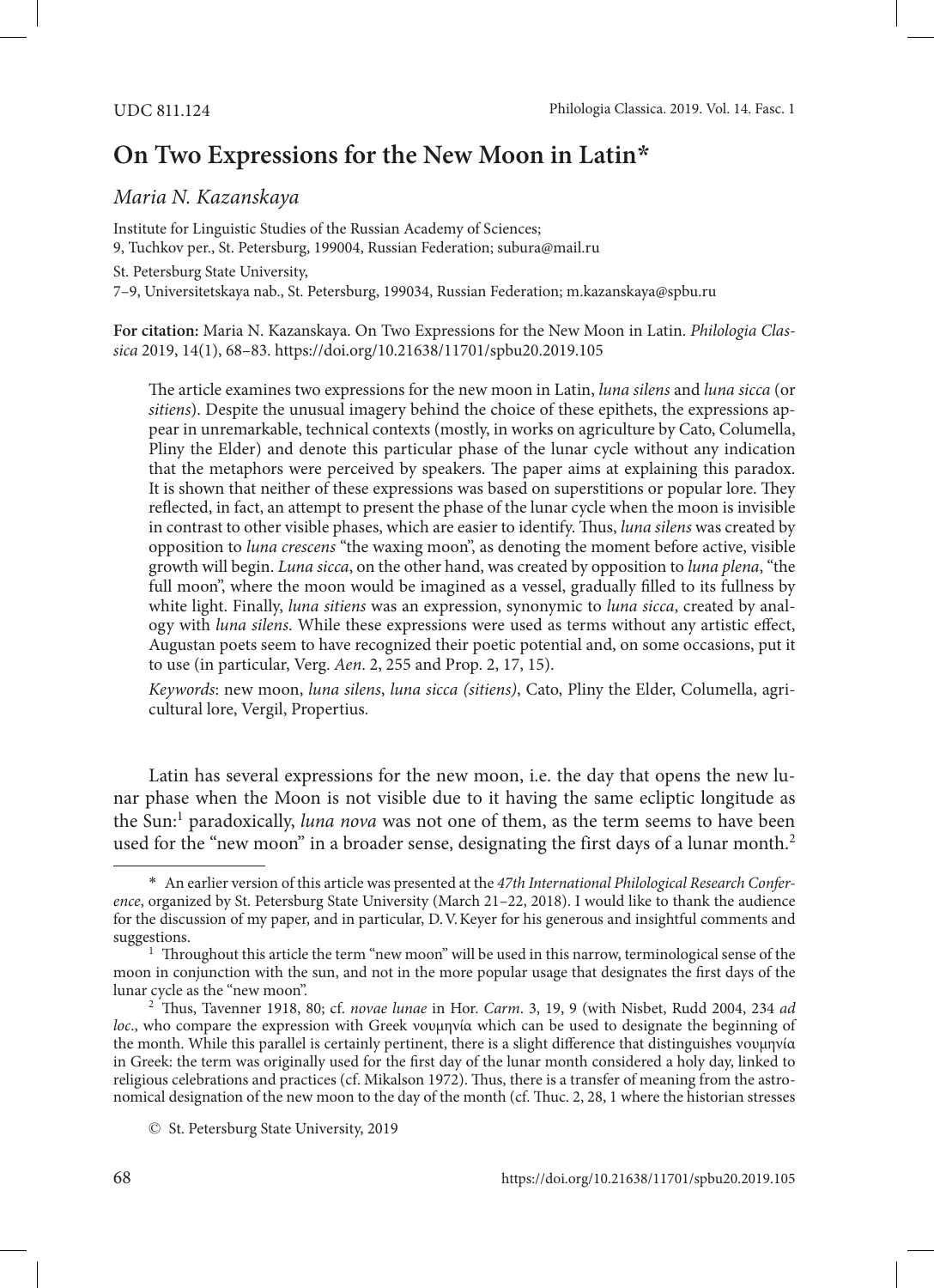# **On Two Expressions for the New Moon in Latin\***

## *Maria N. Kazanskaya*

Institute for Linguistic Studies of the Russian Academy of Sciences; 9, Tuchkov per., St. Petersburg, 199004, Russian Federation; subura@mail.ru St. Petersburg State University, 7–9, Universitetskaya nab., St. Petersburg, 199034, Russian Federation; m.kazanskaya@spbu.ru

**For citation:** Maria N. Kazanskaya. On Two Expressions for the New Moon in Latin. *Philologia Classica* 2019, 14(1), 68–83.<https://doi.org/10.21638/11701/spbu20.2019.105>

The article examines two expressions for the new moon in Latin, *luna silens* and *luna sicca* (or *sitiens*). Despite the unusual imagery behind the choice of these epithets, the expressions appear in unremarkable, technical contexts (mostly, in works on agriculture by Cato, Columella, Pliny the Elder) and denote this particular phase of the lunar cycle without any indication that the metaphors were perceived by speakers. The paper aims at explaining this paradox. It is shown that neither of these expressions was based on superstitions or popular lore. They reflected, in fact, an attempt to present the phase of the lunar cycle when the moon is invisible in contrast to other visible phases, which are easier to identify. Thus, *luna silens* was created by opposition to *luna crescens* "the waxing moon", as denoting the moment before active, visible growth will begin. *Luna sicca*, on the other hand, was created by opposition to *luna plena*, "the full moon", where the moon would be imagined as a vessel, gradually filled to its fullness by white light. Finally, *luna sitiens* was an expression, synonymic to *luna sicca*, created by analogy with *luna silens*. While these expressions were used as terms without any artistic effect, Augustan poets seem to have recognized their poetic potential and, on some occasions, put it to use (in particular, Verg. *Aen*. 2, 255 and Prop. 2, 17, 15).

*Keywords*: new moon, *luna silens*, *luna sicca (sitiens)*, Cato, Pliny the Elder, Columella, agricultural lore, Vergil, Propertius.

Latin has several expressions for the new moon, i.e. the day that opens the new lunar phase when the Moon is not visible due to it having the same ecliptic longitude as the Sun:<sup>1</sup> paradoxically, *luna nova* was not one of them, as the term seems to have been used for the "new moon" in a broader sense, designating the first days of a lunar month.<sup>2</sup>

<sup>\*</sup> An earlier version of this article was presented at the *47th International Philological Research Conference*, organized by St. Petersburg State University (March 21–22, 2018). I would like to thank the audience for the discussion of my paper, and in particular, D.V.Keyer for his generous and insightful comments and suggestions.

 $1$  Throughout this article the term "new moon" will be used in this narrow, terminological sense of the moon in conjunction with the sun, and not in the more popular usage that designates the first days of the lunar cycle as the "new moon".

<sup>2</sup> Thus, Tavenner 1918, 80; cf. *novae lunae* in Hor. *Carm*. 3, 19, 9 (with Nisbet, Rudd 2004, 234 *ad loc*., who compare the expression with Greek νουμηνία which can be used to designate the beginning of the month. While this parallel is certainly pertinent, there is a slight difference that distinguishes νουμηνία in Greek: the term was originally used for the first day of the lunar month considered a holy day, linked to religious celebrations and practices (cf. Mikalson 1972). Thus, there is a transfer of meaning from the astronomical designation of the new moon to the day of the month (cf. Thuc. 2, 28, 1 where the historian stresses

<sup>©</sup> St. Petersburg State University, 2019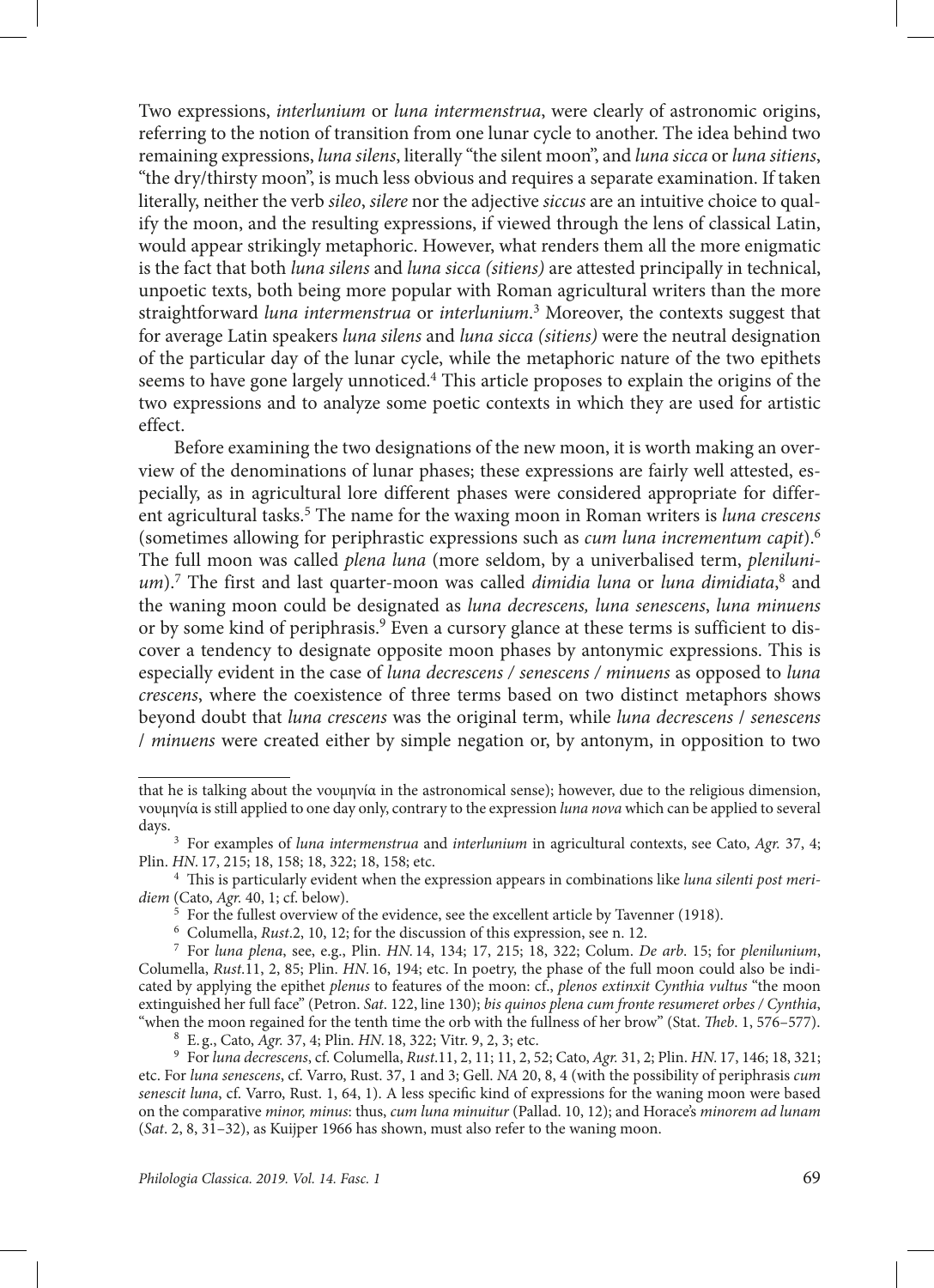Two expressions, *interlunium* or *luna intermenstrua*, were clearly of astronomic origins, referring to the notion of transition from one lunar cycle to another. The idea behind two remaining expressions, *luna silens*, literally "the silent moon", and *luna sicca* or *luna sitiens*, "the dry/thirsty moon", is much less obvious and requires a separate examination. If taken literally, neither the verb *sileo*, *silere* nor the adjective *siccus* are an intuitive choice to qualify the moon, and the resulting expressions, if viewed through the lens of classical Latin, would appear strikingly metaphoric. However, what renders them all the more enigmatic is the fact that both *luna silens* and *luna sicca (sitiens)* are attested principally in technical, unpoetic texts, both being more popular with Roman agricultural writers than the more straightforward *luna intermenstrua* or *interlunium*. 3 Moreover, the contexts suggest that for average Latin speakers *luna silens* and *luna sicca (sitiens)* were the neutral designation of the particular day of the lunar cycle, while the metaphoric nature of the two epithets seems to have gone largely unnoticed.<sup>4</sup> This article proposes to explain the origins of the two expressions and to analyze some poetic contexts in which they are used for artistic effect.

Before examining the two designations of the new moon, it is worth making an overview of the denominations of lunar phases; these expressions are fairly well attested, especially, as in agricultural lore different phases were considered appropriate for different agricultural tasks.5 The name for the waxing moon in Roman writers is *luna crescens* (sometimes allowing for periphrastic expressions such as *cum luna incrementum capit*).6 The full moon was called *plena luna* (more seldom, by a univerbalised term, *plenilunium*).7 The first and last quarter-moon was called *dimidia luna* or *luna dimidiata*, 8 and the waning moon could be designated as *luna decrescens, luna senescens*, *luna minuens* or by some kind of periphrasis.<sup>9</sup> Even a cursory glance at these terms is sufficient to discover a tendency to designate opposite moon phases by antonymic expressions. This is especially evident in the case of *luna decrescens / senescens / minuens* as opposed to *luna crescens*, where the coexistence of three terms based on two distinct metaphors shows beyond doubt that *luna crescens* was the original term, while *luna decrescens* / *senescens* / *minuens* were created either by simple negation or, by antonym, in opposition to two

that he is talking about the νουμηνία in the astronomical sense); however, due to the religious dimension, νουμηνία is still applied to one day only, contrary to the expression *luna nova* which can be applied to several days.

<sup>3</sup> For examples of *luna intermenstrua* and *interlunium* in agricultural contexts, see Cato, *Agr.* 37, 4; Plin. *HN.* 17, 215; 18, 158; 18, 322; 18, 158; etc.

<sup>4</sup> This is particularly evident when the expression appears in combinations like *luna silenti post meridiem* (Cato, *Agr.* 40, 1; cf. below).

<sup>&</sup>lt;sup>5</sup> For the fullest overview of the evidence, see the excellent article by Tavenner (1918).

<sup>6</sup> Columella, *Rust*.2, 10, 12; for the discussion of this expression, see n. 12.

<sup>7</sup> For *luna plena*, see, e.g., Plin. *HN.* 14, 134; 17, 215; 18, 322; Colum. *De arb*. 15; for *plenilunium*, Columella, *Rust*.11, 2, 85; Plin. *HN.* 16, 194; etc. In poetry, the phase of the full moon could also be indicated by applying the epithet *plenus* to features of the moon: cf., *plenos extinxit Cynthia vultus* "the moon extinguished her full face" (Petron. *Sat*. 122, line 130); *bis quinos plena cum fronte resumeret orbes / Cynthia*, "when the moon regained for the tenth time the orb with the fullness of her brow" (Stat. *Theb*. 1, 576–577).

<sup>8</sup> E. g., Cato, *Agr.* 37, 4; Plin. *HN.* 18, 322; Vitr. 9, 2, 3; etc.

<sup>9</sup> For *luna decrescens*, cf. Columella, *Rust*.11, 2, 11; 11, 2, 52; Cato, *Agr.* 31, 2; Plin. *HN.* 17, 146; 18, 321; etc. For *luna senescens*, cf. Varro, Rust. 37, 1 and 3; Gell. *NA* 20, 8, 4 (with the possibility of periphrasis *cum senescit luna*, cf. Varro, Rust. 1, 64, 1). A less specific kind of expressions for the waning moon were based on the comparative *minor, minus*: thus, *cum luna minuitur* (Pallad. 10, 12); and Horace's *minorem ad lunam* (*Sat*. 2, 8, 31–32), as Kuijper 1966 has shown, must also refer to the waning moon.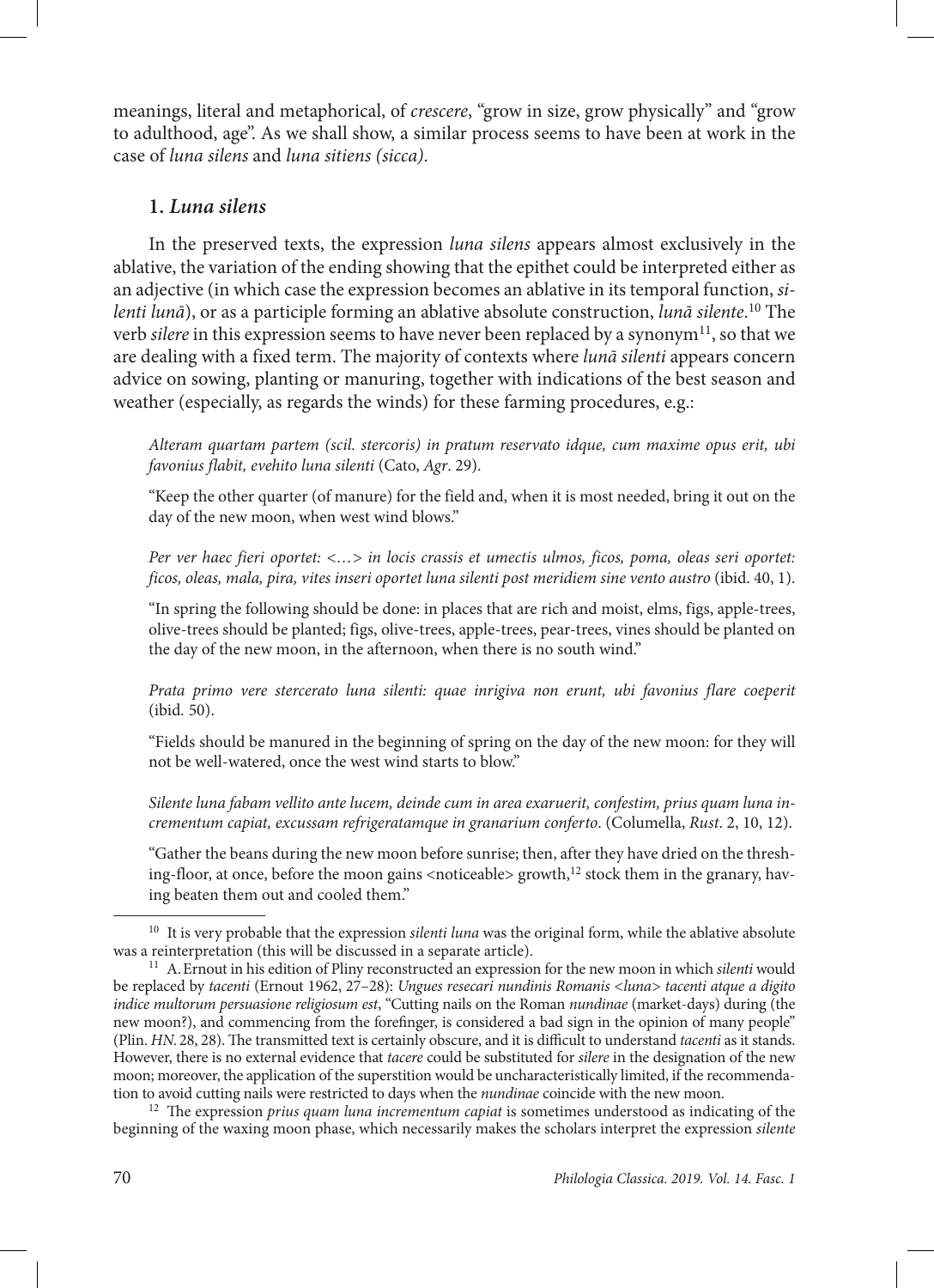meanings, literal and metaphorical, of *crescere*, "grow in size, grow physically" and "grow to adulthood, age". As we shall show, a similar process seems to have been at work in the case of *luna silens* and *luna sitiens (sicca)*.

## **1.** *Luna silens*

In the preserved texts, the expression *luna silens* appears almost exclusively in the ablative, the variation of the ending showing that the epithet could be interpreted either as an adjective (in which case the expression becomes an ablative in its temporal function, *silenti lunā*), or as a participle forming an ablative absolute construction, *lunā silente*. 10 The verb *silere* in this expression seems to have never been replaced by a synonym<sup>11</sup>, so that we are dealing with a fixed term. The majority of contexts where *lunā silenti* appears concern advice on sowing, planting or manuring, together with indications of the best season and weather (especially, as regards the winds) for these farming procedures, e.g.:

*Alteram quartam partem (scil. stercoris) in pratum reservato idque, cum maxime opus erit, ubi favonius flabit, evehito luna silenti* (Cato, *Agr*. 29).

"Keep the other quarter (of manure) for the field and, when it is most needed, bring it out on the day of the new moon, when west wind blows."

*Per ver haec fieri oportet: <…> in locis crassis et umectis ulmos, ficos, poma, oleas seri oportet: ficos, oleas, mala, pira, vites inseri oportet luna silenti post meridiem sine vento austro* (ibid. 40, 1).

"In spring the following should be done: in places that are rich and moist, elms, figs, apple-trees, olive-trees should be planted; figs, olive-trees, apple-trees, pear-trees, vines should be planted on the day of the new moon, in the afternoon, when there is no south wind."

*Prata primo vere stercerato luna silenti: quae inrigiva non erunt, ubi favonius flare coeperit* (ibid*.* 50).

"Fields should be manured in the beginning of spring on the day of the new moon: for they will not be well-watered, once the west wind starts to blow."

*Silente luna fabam vellito ante lucem, deinde cum in area exaruerit, confestim, prius quam luna incrementum capiat, excussam refrigeratamque in granarium conferto*. (Columella, *Rust*. 2, 10, 12).

"Gather the beans during the new moon before sunrise; then, after they have dried on the threshing-floor, at once, before the moon gains <noticeable> growth, $^{12}$  stock them in the granary, having beaten them out and cooled them."

<sup>&</sup>lt;sup>10</sup> It is very probable that the expression *silenti luna* was the original form, while the ablative absolute was a reinterpretation (this will be discussed in a separate article).

<sup>11</sup> A.Ernout in his edition of Pliny reconstructed an expression for the new moon in which *silenti* would be replaced by *tacenti* (Ernout 1962, 27–28): *Ungues resecari nundinis Romanis <luna> tacenti atque a digito indice multorum persuasione religiosum est*, "Cutting nails on the Roman *nundinae* (market-days) during (the new moon?), and commencing from the forefinger, is considered a bad sign in the opinion of many people" (Plin. *HN.*28, 28). The transmitted text is certainly obscure, and it is difficult to understand *tacenti* as it stands. However, there is no external evidence that *tacere* could be substituted for *silere* in the designation of the new moon; moreover, the application of the superstition would be uncharacteristically limited, if the recommendation to avoid cutting nails were restricted to days when the *nundinae* coincide with the new moon.

<sup>12</sup> The expression *prius quam luna incrementum capiat* is sometimes understood as indicating of the beginning of the waxing moon phase, which necessarily makes the scholars interpret the expression *silente*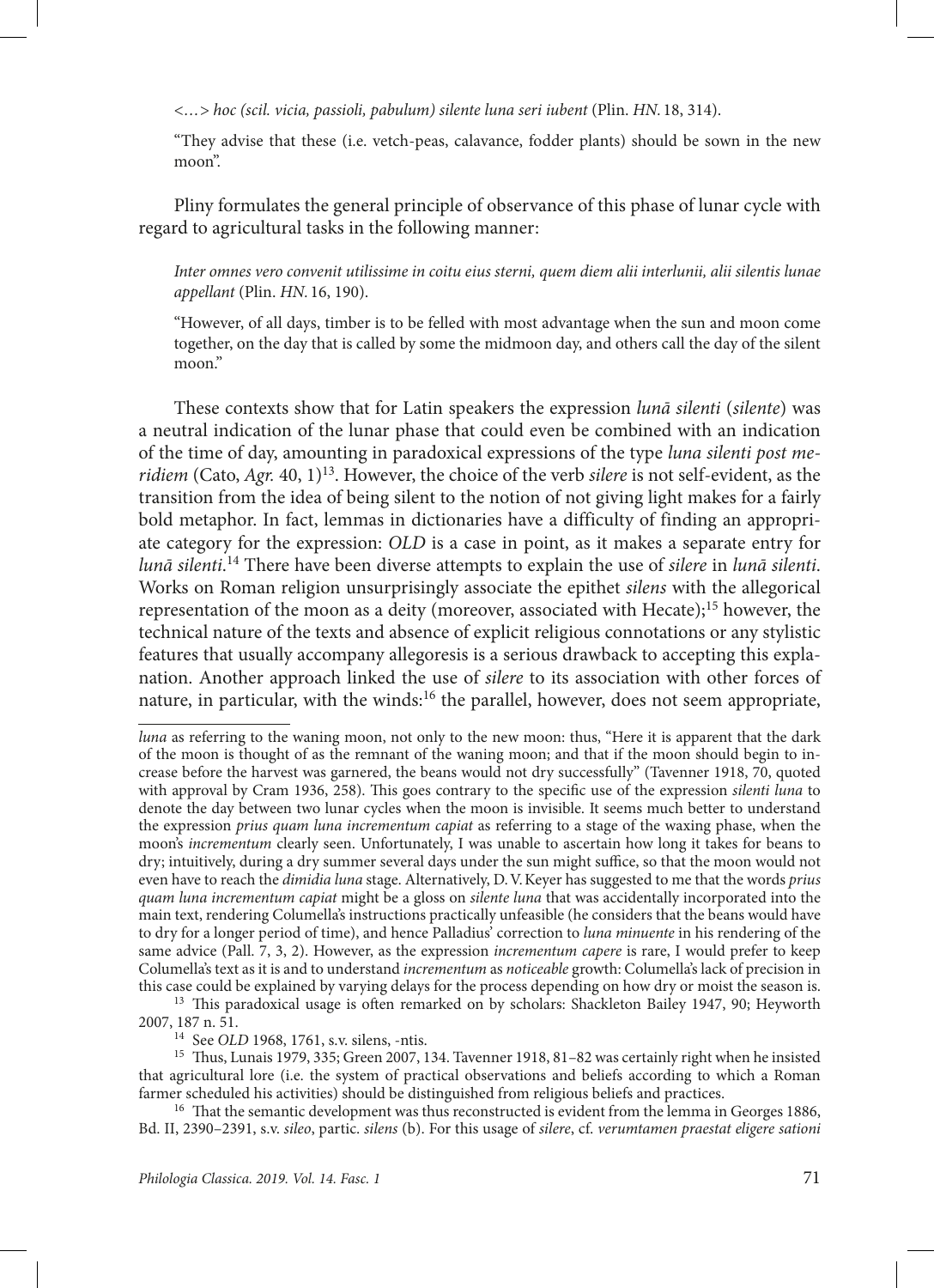*<…> hoc (scil. vicia, passioli, pabulum) silente luna seri iubent* (Plin. *HN.* 18, 314).

"They advise that these (i.e. vetch-peas, calavance, fodder plants) should be sown in the new moon".

Pliny formulates the general principle of observance of this phase of lunar cycle with regard to agricultural tasks in the following manner:

*Inter omnes vero convenit utilissime in coitu eius sterni, quem diem alii interlunii, alii silentis lunae appellant* (Plin. *HN.* 16, 190).

"However, of all days, timber is to be felled with most advantage when the sun and moon come together, on the day that is called by some the midmoon day, and others call the day of the silent moon."

These contexts show that for Latin speakers the expression *lunā silenti* (*silente*) was a neutral indication of the lunar phase that could even be combined with an indication of the time of day, amounting in paradoxical expressions of the type *luna silenti post meridiem* (Cato, *Agr.* 40, 1)13. However, the choice of the verb *silere* is not self-evident, as the transition from the idea of being silent to the notion of not giving light makes for a fairly bold metaphor. In fact, lemmas in dictionaries have a difficulty of finding an appropriate category for the expression: *OLD* is a case in point, as it makes a separate entry for *lunā silenti*. 14 There have been diverse attempts to explain the use of *silere* in *lunā silenti*. Works on Roman religion unsurprisingly associate the epithet *silens* with the allegorical representation of the moon as a deity (moreover, associated with Hecate);<sup>15</sup> however, the technical nature of the texts and absence of explicit religious connotations or any stylistic features that usually accompany allegoresis is a serious drawback to accepting this explanation. Another approach linked the use of *silere* to its association with other forces of nature, in particular, with the winds:<sup>16</sup> the parallel, however, does not seem appropriate,

<sup>13</sup> This paradoxical usage is often remarked on by scholars: Shackleton Bailey 1947, 90; Heyworth 2007, 187 n. 51.

<sup>14</sup> See *OLD* 1968, 1761, s.v. silens, -ntis.

<sup>15</sup> Thus, Lunais 1979, 335; Green 2007, 134. Tavenner 1918, 81–82 was certainly right when he insisted that agricultural lore (i.e. the system of practical observations and beliefs according to which a Roman farmer scheduled his activities) should be distinguished from religious beliefs and practices.

<sup>16</sup> That the semantic development was thus reconstructed is evident from the lemma in Georges 1886, Bd. II, 2390–2391, s.v. *sileo*, partic. *silens* (b). For this usage of *silere*, cf. *verumtamen praestat eligere sationi* 

*luna* as referring to the waning moon, not only to the new moon: thus, "Here it is apparent that the dark of the moon is thought of as the remnant of the waning moon; and that if the moon should begin to increase before the harvest was garnered, the beans would not dry successfully" (Tavenner 1918, 70, quoted with approval by Cram 1936, 258). This goes contrary to the specific use of the expression *silenti luna* to denote the day between two lunar cycles when the moon is invisible. It seems much better to understand the expression *prius quam luna incrementum capiat* as referring to a stage of the waxing phase, when the moon's *incrementum* clearly seen. Unfortunately, I was unable to ascertain how long it takes for beans to dry; intuitively, during a dry summer several days under the sun might suffice, so that the moon would not even have to reach the *dimidia luna* stage. Alternatively, D.V.Keyer has suggested to me that the words *prius quam luna incrementum capiat* might be a gloss on *silente luna* that was accidentally incorporated into the main text, rendering Columella's instructions practically unfeasible (he considers that the beans would have to dry for a longer period of time), and hence Palladius' correction to *luna minuente* in his rendering of the same advice (Pall. 7, 3, 2). However, as the expression *incrementum capere* is rare, I would prefer to keep Columella's text as it is and to understand *incrementum* as *noticeable* growth: Columella's lack of precision in this case could be explained by varying delays for the process depending on how dry or moist the season is.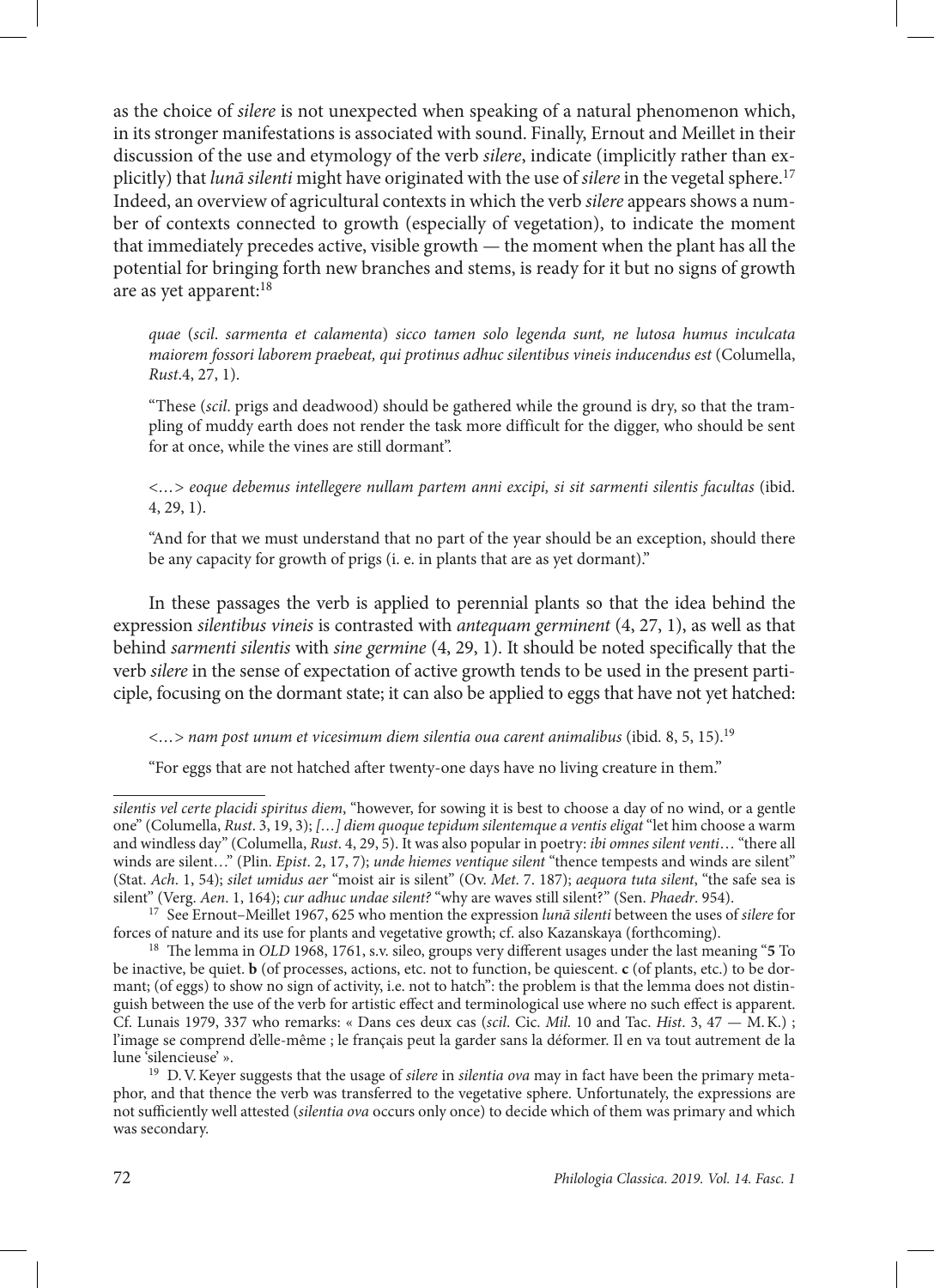as the choice of *silere* is not unexpected when speaking of a natural phenomenon which, in its stronger manifestations is associated with sound. Finally, Ernout and Meillet in their discussion of the use and etymology of the verb *silere*, indicate (implicitly rather than explicitly) that *lunā silenti* might have originated with the use of *silere* in the vegetal sphere.17 Indeed, an overview of agricultural contexts in which the verb *silere* appears shows a number of contexts connected to growth (especially of vegetation), to indicate the moment that immediately precedes active, visible growth — the moment when the plant has all the potential for bringing forth new branches and stems, is ready for it but no signs of growth are as yet apparent:18

*quae* (*scil*. *sarmenta et calamenta*) *sicco tamen solo legenda sunt, ne lutosa humus inculcata maiorem fossori laborem praebeat, qui protinus adhuc silentibus vineis inducendus est* (Columella, *Rust*.4, 27, 1).

"These (*scil*. prigs and deadwood) should be gathered while the ground is dry, so that the trampling of muddy earth does not render the task more difficult for the digger, who should be sent for at once, while the vines are still dormant".

*<…> eoque debemus intellegere nullam partem anni excipi, si sit sarmenti silentis facultas* (ibid. 4, 29, 1).

"And for that we must understand that no part of the year should be an exception, should there be any capacity for growth of prigs (i. e. in plants that are as yet dormant)."

In these passages the verb is applied to perennial plants so that the idea behind the expression *silentibus vineis* is contrasted with *antequam germinent* (4, 27, 1), as well as that behind *sarmenti silentis* with *sine germine* (4, 29, 1). It should be noted specifically that the verb *silere* in the sense of expectation of active growth tends to be used in the present participle, focusing on the dormant state; it can also be applied to eggs that have not yet hatched:

*<…> nam post unum et vicesimum diem silentia oua carent animalibus* (ibid*.* 8, 5, 15).19

"For eggs that are not hatched after twenty-one days have no living creature in them."

*silentis vel certe placidi spiritus diem*, "however, for sowing it is best to choose a day of no wind, or a gentle one" (Columella, *Rust*. 3, 19, 3); *[…] diem quoque tepidum silentemque a ventis eligat* "let him choose a warm and windless day" (Columella, *Rust*. 4, 29, 5). It was also popular in poetry: *ibi omnes silent venti*… "there all winds are silent…" (Plin. *Epist*. 2, 17, 7); *unde hiemes ventique silent* "thence tempests and winds are silent" (Stat. *Ach*. 1, 54); *silet umidus aer* "moist air is silent" (Ov. *Met*. 7. 187); *aequora tuta silent*, "the safe sea is silent" (Verg. *Aen*. 1, 164); *cur adhuc undae silent?* "why are waves still silent?" (Sen. *Phaedr*. 954).

<sup>17</sup> See Ernout–Meillet 1967, 625 who mention the expression *lunā silenti* between the uses of *silere* for forces of nature and its use for plants and vegetative growth; cf. also Kazanskaya (forthcoming).

<sup>18</sup> The lemma in *OLD* 1968, 1761, s.v. sileo, groups very different usages under the last meaning "**5** To be inactive, be quiet. **b** (of processes, actions, etc. not to function, be quiescent. **c** (of plants, etc.) to be dormant; (of eggs) to show no sign of activity, i.e. not to hatch": the problem is that the lemma does not distinguish between the use of the verb for artistic effect and terminological use where no such effect is apparent. Cf. Lunais 1979, 337 who remarks: « Dans ces deux cas (*scil*. Cic. *Mil*. 10 and Tac. *Hist*. 3, 47 — M.K.) ; l'image se comprend d'elle-même ; le français peut la garder sans la déformer. Il en va tout autrement de la lune 'silencieuse' ».

<sup>19</sup> D.V.Keyer suggests that the usage of *silere* in *silentia ova* may in fact have been the primary metaphor, and that thence the verb was transferred to the vegetative sphere. Unfortunately, the expressions are not sufficiently well attested (*silentia ova* occurs only once) to decide which of them was primary and which was secondary.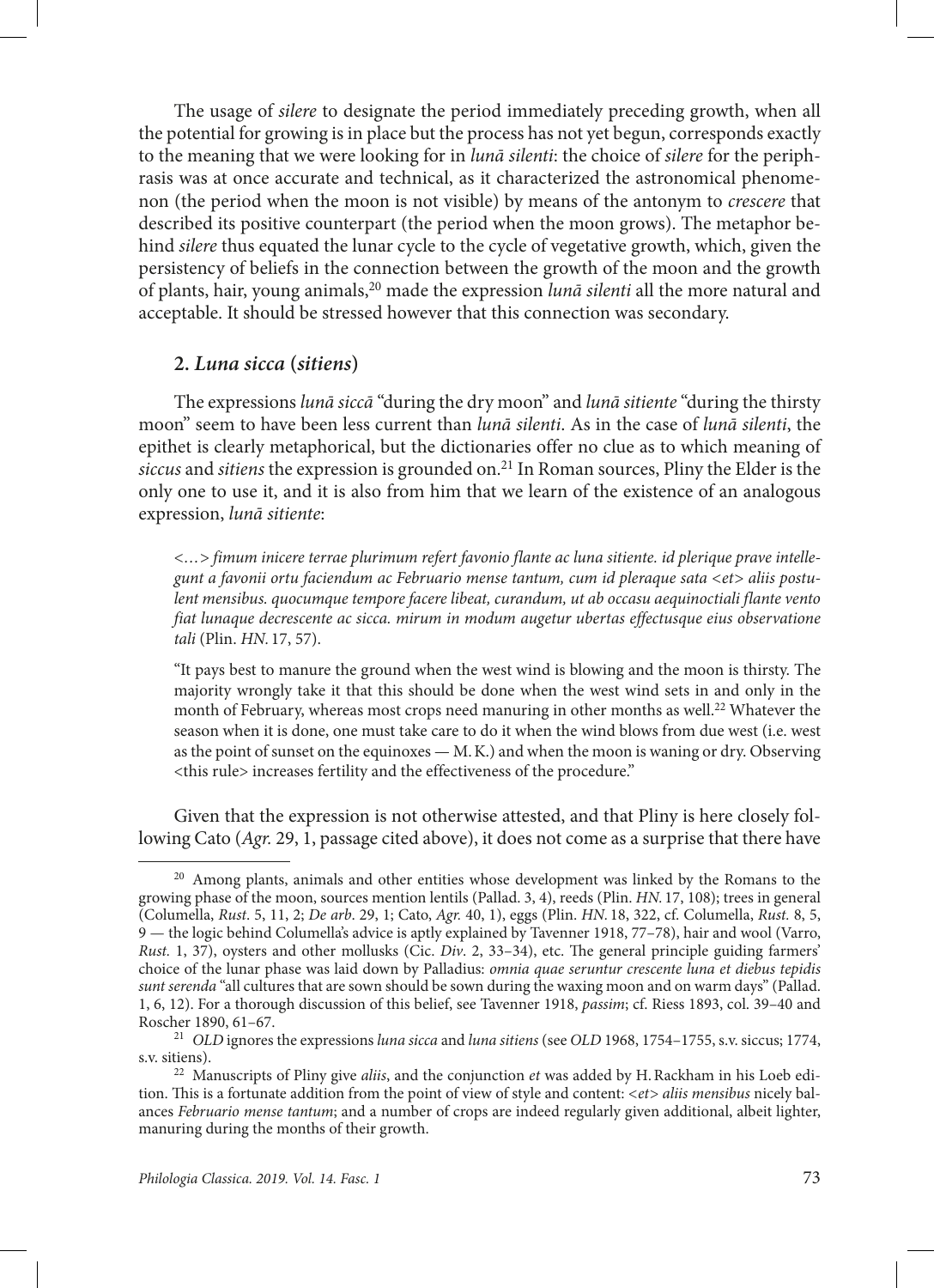The usage of *silere* to designate the period immediately preceding growth, when all the potential for growing is in place but the process has not yet begun, corresponds exactly to the meaning that we were looking for in *lunā silenti*: the choice of *silere* for the periphrasis was at once accurate and technical, as it characterized the astronomical phenomenon (the period when the moon is not visible) by means of the antonym to *crescere* that described its positive counterpart (the period when the moon grows). The metaphor behind *silere* thus equated the lunar cycle to the cycle of vegetative growth, which, given the persistency of beliefs in the connection between the growth of the moon and the growth of plants, hair, young animals,20 made the expression *lunā silenti* all the more natural and acceptable. It should be stressed however that this connection was secondary.

#### **2.** *Luna sicca* **(***sitiens***)**

The expressions *lunā siccā* "during the dry moon" and *lunā sitiente* "during the thirsty moon" seem to have been less current than *lunā silenti*. As in the case of *lunā silenti*, the epithet is clearly metaphorical, but the dictionaries offer no clue as to which meaning of *siccus* and *sitiens* the expression is grounded on.21 In Roman sources, Pliny the Elder is the only one to use it, and it is also from him that we learn of the existence of an analogous expression, *lunā sitiente*:

*<…> fimum inicere terrae plurimum refert favonio flante ac luna sitiente. id plerique prave intellegunt a favonii ortu faciendum ac Februario mense tantum, cum id pleraque sata <et> aliis postulent mensibus. quocumque tempore facere libeat, curandum, ut ab occasu aequinoctiali flante vento fiat lunaque decrescente ac sicca. mirum in modum augetur ubertas effectusque eius observatione tali* (Plin. *HN.* 17, 57).

"It pays best to manure the ground when the west wind is blowing and the moon is thirsty. The majority wrongly take it that this should be done when the west wind sets in and only in the month of February, whereas most crops need manuring in other months as well.<sup>22</sup> Whatever the season when it is done, one must take care to do it when the wind blows from due west (i.e. west as the point of sunset on the equinoxes — M.K.) and when the moon is waning or dry. Observing <this rule> increases fertility and the effectiveness of the procedure."

Given that the expression is not otherwise attested, and that Pliny is here closely following Cato (*Agr.* 29, 1, passage cited above), it does not come as a surprise that there have

<sup>&</sup>lt;sup>20</sup> Among plants, animals and other entities whose development was linked by the Romans to the growing phase of the moon, sources mention lentils (Pallad. 3, 4), reeds (Plin. *HN.* 17, 108); trees in general (Columella, *Rust*. 5, 11, 2; *De arb*. 29, 1; Cato, *Agr.* 40, 1), eggs (Plin. *HN.* 18, 322, cf. Columella, *Rust.* 8, 5, 9 — the logic behind Columella's advice is aptly explained by Tavenner 1918, 77–78), hair and wool (Varro, *Rust.* 1, 37), oysters and other mollusks (Cic. *Div*. 2, 33–34), etc. The general principle guiding farmers' choice of the lunar phase was laid down by Palladius: *omnia quae seruntur crescente luna et diebus tepidis sunt serenda* "all cultures that are sown should be sown during the waxing moon and on warm days" (Pallad. 1, 6, 12). For a thorough discussion of this belief, see Tavenner 1918, *passim*; cf. Riess 1893, col. 39–40 and Roscher 1890, 61–67.

<sup>21</sup> *OLD* ignores the expressions *luna sicca* and *luna sitiens* (see *OLD* 1968, 1754–1755, s.v. siccus; 1774, s.v. sitiens).

<sup>22</sup> Manuscripts of Pliny give *aliis*, and the conjunction *et* was added by H.Rackham in his Loeb edition. This is a fortunate addition from the point of view of style and content: *<et> aliis mensibus* nicely balances *Februario mense tantum*; and a number of crops are indeed regularly given additional, albeit lighter, manuring during the months of their growth.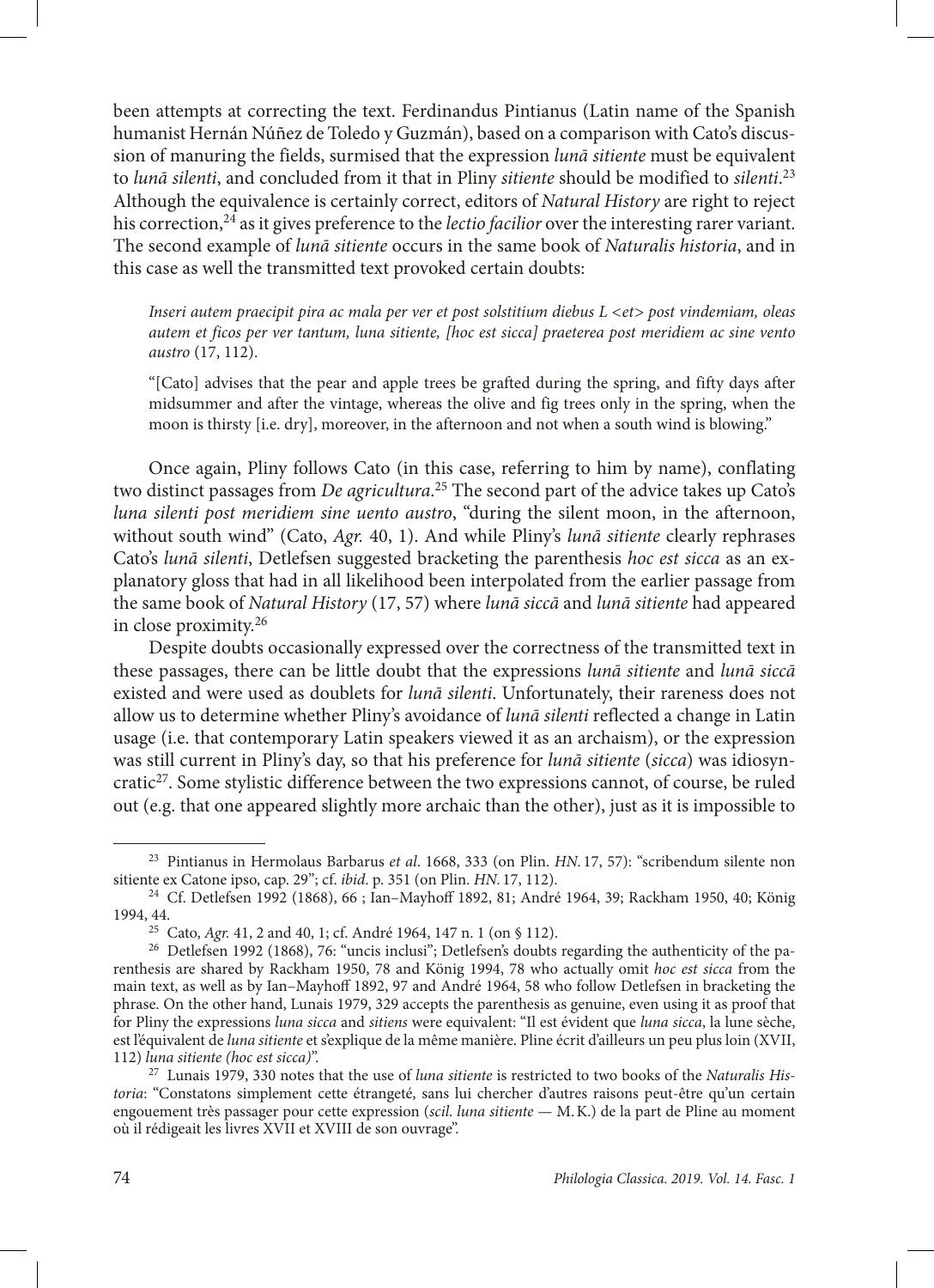been attempts at correcting the text. Ferdinandus Pintianus (Latin name of the Spanish humanist Hernán Núñez de Toledo y Guzmán), based on a comparison with Cato's discussion of manuring the fields, surmised that the expression *lunā sitiente* must be equivalent to *lunā silenti*, and concluded from it that in Pliny *sitiente* should be modified to *silenti*. 23 Although the equivalence is certainly correct, editors of *Natural History* are right to reject his correction,<sup>24</sup> as it gives preference to the *lectio facilior* over the interesting rarer variant. The second example of *lunā sitiente* occurs in the same book of *Naturalis historia*, and in this case as well the transmitted text provoked certain doubts:

*Inseri autem praecipit pira ac mala per ver et post solstitium diebus L <et> post vindemiam, oleas autem et ficos per ver tantum, luna sitiente, [hoc est sicca] praeterea post meridiem ac sine vento austro* (17, 112).

"[Cato] advises that the pear and apple trees be grafted during the spring, and fifty days after midsummer and after the vintage, whereas the olive and fig trees only in the spring, when the moon is thirsty [i.e. dry], moreover, in the afternoon and not when a south wind is blowing."

Once again, Pliny follows Cato (in this case, referring to him by name), conflating two distinct passages from *De agricultura*. 25 The second part of the advice takes up Cato's *luna silenti post meridiem sine uento austro*, "during the silent moon, in the afternoon, without south wind" (Cato, *Agr.* 40, 1). And while Pliny's *lunā sitiente* clearly rephrases Cato's *lunā silenti*, Detlefsen suggested bracketing the parenthesis *hoc est sicca* as an explanatory gloss that had in all likelihood been interpolated from the earlier passage from the same book of *Natural History* (17, 57) where *lunā siccā* and *lunā sitiente* had appeared in close proximity.26

Despite doubts occasionally expressed over the correctness of the transmitted text in these passages, there can be little doubt that the expressions *lunā sitiente* and *lunā siccā* existed and were used as doublets for *lunā silenti*. Unfortunately, their rareness does not allow us to determine whether Pliny's avoidance of *lunā silenti* reflected a change in Latin usage (i.e. that contemporary Latin speakers viewed it as an archaism), or the expression was still current in Pliny's day, so that his preference for *lunā sitiente* (*sicca*) was idiosyncratic<sup>27</sup>. Some stylistic difference between the two expressions cannot, of course, be ruled out (e.g. that one appeared slightly more archaic than the other), just as it is impossible to

<sup>23</sup> Pintianus in Hermolaus Barbarus *et al*. 1668, 333 (on Plin. *HN.* 17, 57): "scribendum silente non sitiente ex Catone ipso, cap. 29"; cf. *ibid*. p. 351 (on Plin. *HN.* 17, 112). 24 Cf. Detlefsen 1992 (1868), 66 ; Ian–Mayhoff 1892, 81; André 1964, 39; Rackham 1950, 40; König

<sup>1994, 44.</sup>

<sup>25</sup> Cato, *Agr.* 41, 2 and 40, 1; cf. André 1964, 147 n. 1 (on § 112).

<sup>&</sup>lt;sup>26</sup> Detlefsen 1992 (1868), 76: "uncis inclusi"; Detlefsen's doubts regarding the authenticity of the parenthesis are shared by Rackham 1950, 78 and König 1994, 78 who actually omit *hoc est sicca* from the main text, as well as by Ian–Mayhoff 1892, 97 and André 1964, 58 who follow Detlefsen in bracketing the phrase. On the other hand, Lunais 1979, 329 accepts the parenthesis as genuine, even using it as proof that for Pliny the expressions *luna sicca* and *sitiens* were equivalent: "Il est évident que *luna sicca*, la lune sèche, est l'équivalent de *luna sitiente* et s'explique de la même manière. Pline écrit d'ailleurs un peu plus loin (XVII, 112) *luna sitiente (hoc est sicca)*".

<sup>27</sup> Lunais 1979, 330 notes that the use of *luna sitiente* is restricted to two books of the *Naturalis Historia*: "Constatons simplement cette étrangeté, sans lui chercher d'autres raisons peut-être qu'un certain engouement très passager pour cette expression (*scil*. *luna sitiente* — M.K.) de la part de Pline au moment où il rédigeait les livres XVII et XVIII de son ouvrage".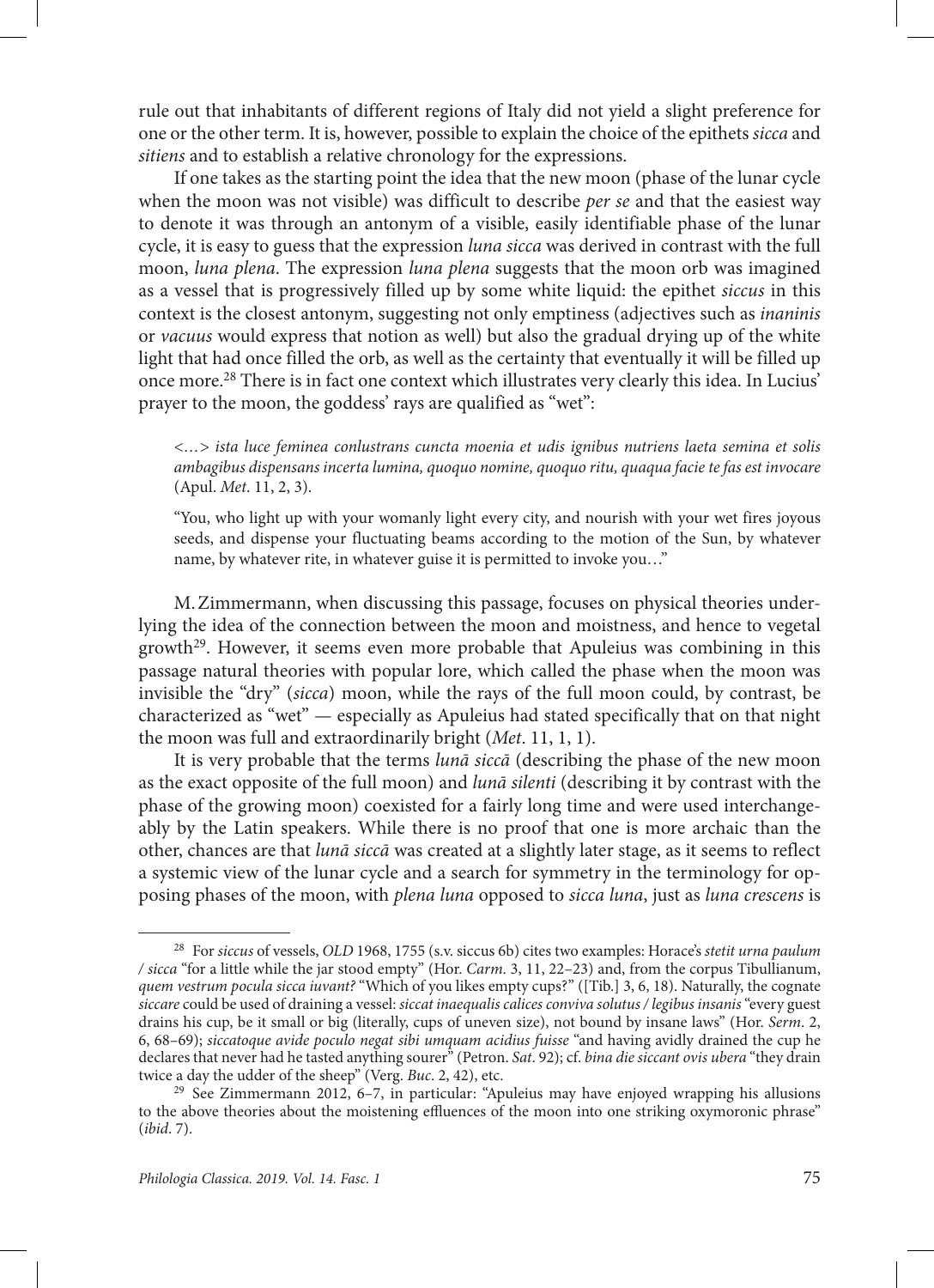rule out that inhabitants of different regions of Italy did not yield a slight preference for one or the other term. It is, however, possible to explain the choice of the epithets *sicca* and *sitiens* and to establish a relative chronology for the expressions.

If one takes as the starting point the idea that the new moon (phase of the lunar cycle when the moon was not visible) was difficult to describe *per se* and that the easiest way to denote it was through an antonym of a visible, easily identifiable phase of the lunar cycle, it is easy to guess that the expression *luna sicca* was derived in contrast with the full moon, *luna plena*. The expression *luna plena* suggests that the moon orb was imagined as a vessel that is progressively filled up by some white liquid: the epithet *siccus* in this context is the closest antonym, suggesting not only emptiness (adjectives such as *inaninis* or *vacuus* would express that notion as well) but also the gradual drying up of the white light that had once filled the orb, as well as the certainty that eventually it will be filled up once more.28 There is in fact one context which illustrates very clearly this idea. In Lucius' prayer to the moon, the goddess' rays are qualified as "wet":

*<…> ista luce feminea conlustrans cuncta moenia et udis ignibus nutriens laeta semina et solis ambagibus dispensans incerta lumina, quoquo nomine, quoquo ritu, quaqua facie te fas est invocare* (Apul. *Met*. 11, 2, 3).

"You, who light up with your womanly light every city, and nourish with your wet fires joyous seeds, and dispense your fluctuating beams according to the motion of the Sun, by whatever name, by whatever rite, in whatever guise it is permitted to invoke you…"

M.Zimmermann, when discussing this passage, focuses on physical theories underlying the idea of the connection between the moon and moistness, and hence to vegetal growth<sup>29</sup>. However, it seems even more probable that Apuleius was combining in this passage natural theories with popular lore, which called the phase when the moon was invisible the "dry" (*sicca*) moon, while the rays of the full moon could, by contrast, be characterized as "wet" — especially as Apuleius had stated specifically that on that night the moon was full and extraordinarily bright (*Met*. 11, 1, 1).

It is very probable that the terms *lunā siccā* (describing the phase of the new moon as the exact opposite of the full moon) and *lunā silenti* (describing it by contrast with the phase of the growing moon) coexisted for a fairly long time and were used interchangeably by the Latin speakers. While there is no proof that one is more archaic than the other, chances are that *lunā siccā* was created at a slightly later stage, as it seems to reflect a systemic view of the lunar cycle and a search for symmetry in the terminology for opposing phases of the moon, with *plena luna* opposed to *sicca luna*, just as *luna crescens* is

<sup>28</sup> For *siccus* of vessels, *OLD* 1968, 1755 (s.v. siccus 6b) cites two examples: Horace's *stetit urna paulum / sicca* "for a little while the jar stood empty" (Hor. *Carm*. 3, 11, 22–23) and, from the corpus Tibullianum, *quem vestrum pocula sicca iuvant?* "Which of you likes empty cups?" ([Tib.] 3, 6, 18). Naturally, the cognate *siccare* could be used of draining a vessel: *siccat inaequalis calices conviva solutus / legibus insanis* "every guest drains his cup, be it small or big (literally, cups of uneven size), not bound by insane laws" (Hor. *Serm*. 2, 6, 68–69); *siccatoque avide poculo negat sibi umquam acidius fuisse* "and having avidly drained the cup he declares that never had he tasted anything sourer" (Petron. *Sat*. 92); cf. *bina die siccant ovis ubera* "they drain twice a day the udder of the sheep" (Verg. *Buc*. 2, 42), etc.

<sup>&</sup>lt;sup>29</sup> See Zimmermann 2012, 6–7, in particular: "Apuleius may have enjoyed wrapping his allusions to the above theories about the moistening effluences of the moon into one striking oxymoronic phrase" (*ibid*. 7).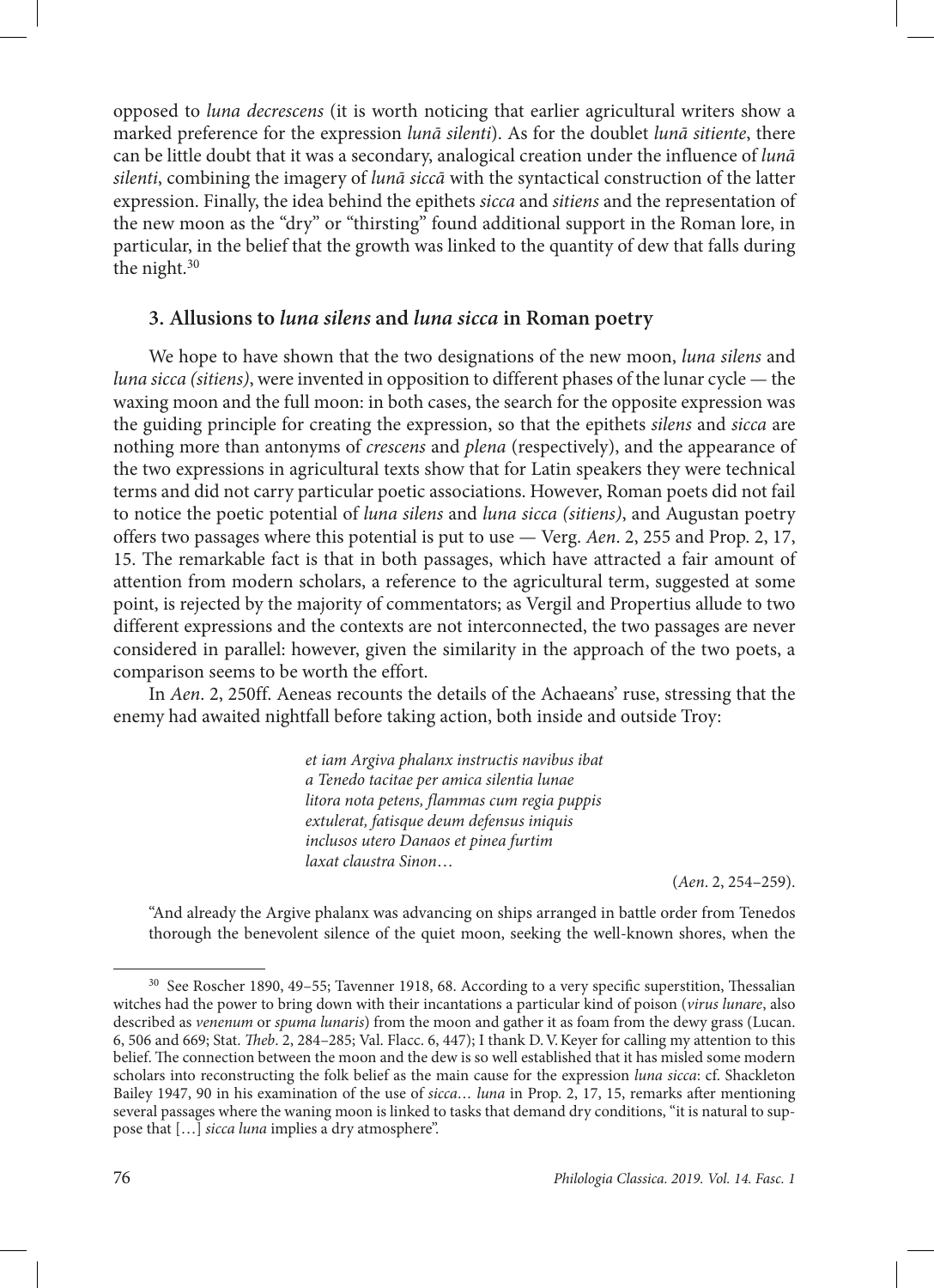opposed to *luna decrescens* (it is worth noticing that earlier agricultural writers show a marked preference for the expression *lunā silenti*). As for the doublet *lunā sitiente*, there can be little doubt that it was a secondary, analogical creation under the influence of *lunā silenti*, combining the imagery of *lunā siccā* with the syntactical construction of the latter expression. Finally, the idea behind the epithets *sicca* and *sitiens* and the representation of the new moon as the "dry" or "thirsting" found additional support in the Roman lore, in particular, in the belief that the growth was linked to the quantity of dew that falls during the night.30

## **3. Allusions to** *luna silens* **and** *luna sicca* **in Roman poetry**

We hope to have shown that the two designations of the new moon, *luna silens* and *luna sicca (sitiens)*, were invented in opposition to different phases of the lunar cycle — the waxing moon and the full moon: in both cases, the search for the opposite expression was the guiding principle for creating the expression, so that the epithets *silens* and *sicca* are nothing more than antonyms of *crescens* and *plena* (respectively), and the appearance of the two expressions in agricultural texts show that for Latin speakers they were technical terms and did not carry particular poetic associations. However, Roman poets did not fail to notice the poetic potential of *luna silens* and *luna sicca (sitiens)*, and Augustan poetry offers two passages where this potential is put to use — Verg. *Aen*. 2, 255 and Prop. 2, 17, 15. The remarkable fact is that in both passages, which have attracted a fair amount of attention from modern scholars, a reference to the agricultural term, suggested at some point, is rejected by the majority of commentators; as Vergil and Propertius allude to two different expressions and the contexts are not interconnected, the two passages are never considered in parallel: however, given the similarity in the approach of the two poets, a comparison seems to be worth the effort.

In *Aen*. 2, 250ff. Aeneas recounts the details of the Achaeans' ruse, stressing that the enemy had awaited nightfall before taking action, both inside and outside Troy:

> *et iam Argiva phalanx instructis navibus ibat a Tenedo tacitae per amica silentia lunae litora nota petens, flammas cum regia puppis extulerat, fatisque deum defensus iniquis inclusos utero Danaos et pinea furtim laxat claustra Sinon*…

> > (*Aen*. 2, 254–259).

"And already the Argive phalanx was advancing on ships arranged in battle order from Tenedos thorough the benevolent silence of the quiet moon, seeking the well-known shores, when the

<sup>30</sup> See Roscher 1890, 49–55; Tavenner 1918, 68. According to a very specific superstition, Thessalian witches had the power to bring down with their incantations a particular kind of poison (*virus lunare*, also described as *venenum* or *spuma lunaris*) from the moon and gather it as foam from the dewy grass (Lucan. 6, 506 and 669; Stat. *Theb*. 2, 284–285; Val. Flacc. 6, 447); I thank D.V.Keyer for calling my attention to this belief. The connection between the moon and the dew is so well established that it has misled some modern scholars into reconstructing the folk belief as the main cause for the expression *luna sicca*: cf. Shackleton Bailey 1947, 90 in his examination of the use of *sicca… luna* in Prop. 2, 17, 15, remarks after mentioning several passages where the waning moon is linked to tasks that demand dry conditions, "it is natural to suppose that […] *sicca luna* implies a dry atmosphere".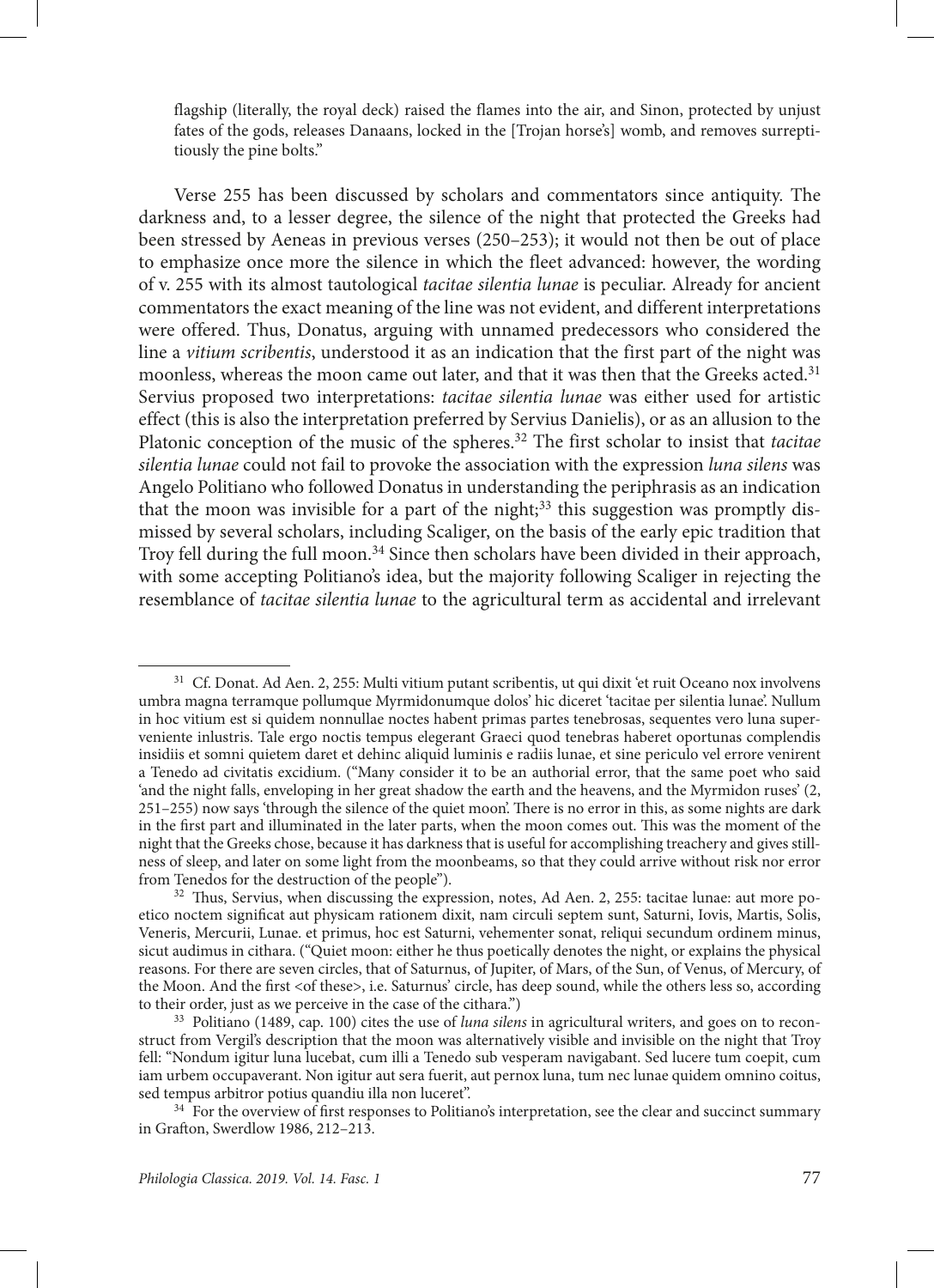flagship (literally, the royal deck) raised the flames into the air, and Sinon, protected by unjust fates of the gods, releases Danaans, locked in the [Trojan horse's] womb, and removes surreptitiously the pine bolts."

Verse 255 has been discussed by scholars and commentators since antiquity. The darkness and, to a lesser degree, the silence of the night that protected the Greeks had been stressed by Aeneas in previous verses (250–253); it would not then be out of place to emphasize once more the silence in which the fleet advanced: however, the wording of v. 255 with its almost tautological *tacitae silentia lunae* is peculiar. Already for ancient commentators the exact meaning of the line was not evident, and different interpretations were offered. Thus, Donatus, arguing with unnamed predecessors who considered the line a *vitium scribentis*, understood it as an indication that the first part of the night was moonless, whereas the moon came out later, and that it was then that the Greeks acted.<sup>31</sup> Servius proposed two interpretations: *tacitae silentia lunae* was either used for artistic effect (this is also the interpretation preferred by Servius Danielis), or as an allusion to the Platonic conception of the music of the spheres.32 The first scholar to insist that *tacitae silentia lunae* could not fail to provoke the association with the expression *luna silens* was Angelo Politiano who followed Donatus in understanding the periphrasis as an indication that the moon was invisible for a part of the night; $33$  this suggestion was promptly dismissed by several scholars, including Scaliger, on the basis of the early epic tradition that Troy fell during the full moon.<sup>34</sup> Since then scholars have been divided in their approach, with some accepting Politiano's idea, but the majority following Scaliger in rejecting the resemblance of *tacitae silentia lunae* to the agricultural term as accidental and irrelevant

<sup>&</sup>lt;sup>31</sup> Cf. Donat. Ad Aen. 2, 255: Multi vitium putant scribentis, ut qui dixit 'et ruit Oceano nox involvens umbra magna terramque pollumque Myrmidonumque dolos' hic diceret 'tacitae per silentia lunae'. Nullum in hoc vitium est si quidem nonnullae noctes habent primas partes tenebrosas, sequentes vero luna superveniente inlustris. Tale ergo noctis tempus elegerant Graeci quod tenebras haberet oportunas complendis insidiis et somni quietem daret et dehinc aliquid luminis e radiis lunae, et sine periculo vel errore venirent a Tenedo ad civitatis excidium. ("Many consider it to be an authorial error, that the same poet who said 'and the night falls, enveloping in her great shadow the earth and the heavens, and the Myrmidon ruses' (2, 251–255) now says 'through the silence of the quiet moon'. There is no error in this, as some nights are dark in the first part and illuminated in the later parts, when the moon comes out. This was the moment of the night that the Greeks chose, because it has darkness that is useful for accomplishing treachery and gives stillness of sleep, and later on some light from the moonbeams, so that they could arrive without risk nor error from Tenedos for the destruction of the people").

<sup>&</sup>lt;sup>32</sup> Thus, Servius, when discussing the expression, notes, Ad Aen. 2, 255: tacitae lunae: aut more poetico noctem significat aut physicam rationem dixit, nam circuli septem sunt, Saturni, Iovis, Martis, Solis, Veneris, Mercurii, Lunae. et primus, hoc est Saturni, vehementer sonat, reliqui secundum ordinem minus, sicut audimus in cithara. ("Quiet moon: either he thus poetically denotes the night, or explains the physical reasons. For there are seven circles, that of Saturnus, of Jupiter, of Mars, of the Sun, of Venus, of Mercury, of the Moon. And the first <of these>, i.e. Saturnus' circle, has deep sound, while the others less so, according to their order, just as we perceive in the case of the cithara.")

<sup>33</sup> Politiano (1489, cap. 100) cites the use of *luna silens* in agricultural writers, and goes on to reconstruct from Vergil's description that the moon was alternatively visible and invisible on the night that Troy fell: "Nondum igitur luna lucebat, cum illi a Tenedo sub vesperam navigabant. Sed lucere tum coepit, cum iam urbem occupaverant. Non igitur aut sera fuerit, aut pernox luna, tum nec lunae quidem omnino coitus, sed tempus arbitror potius quandiu illa non luceret".

<sup>&</sup>lt;sup>34</sup> For the overview of first responses to Politiano's interpretation, see the clear and succinct summary in Grafton, Swerdlow 1986, 212–213.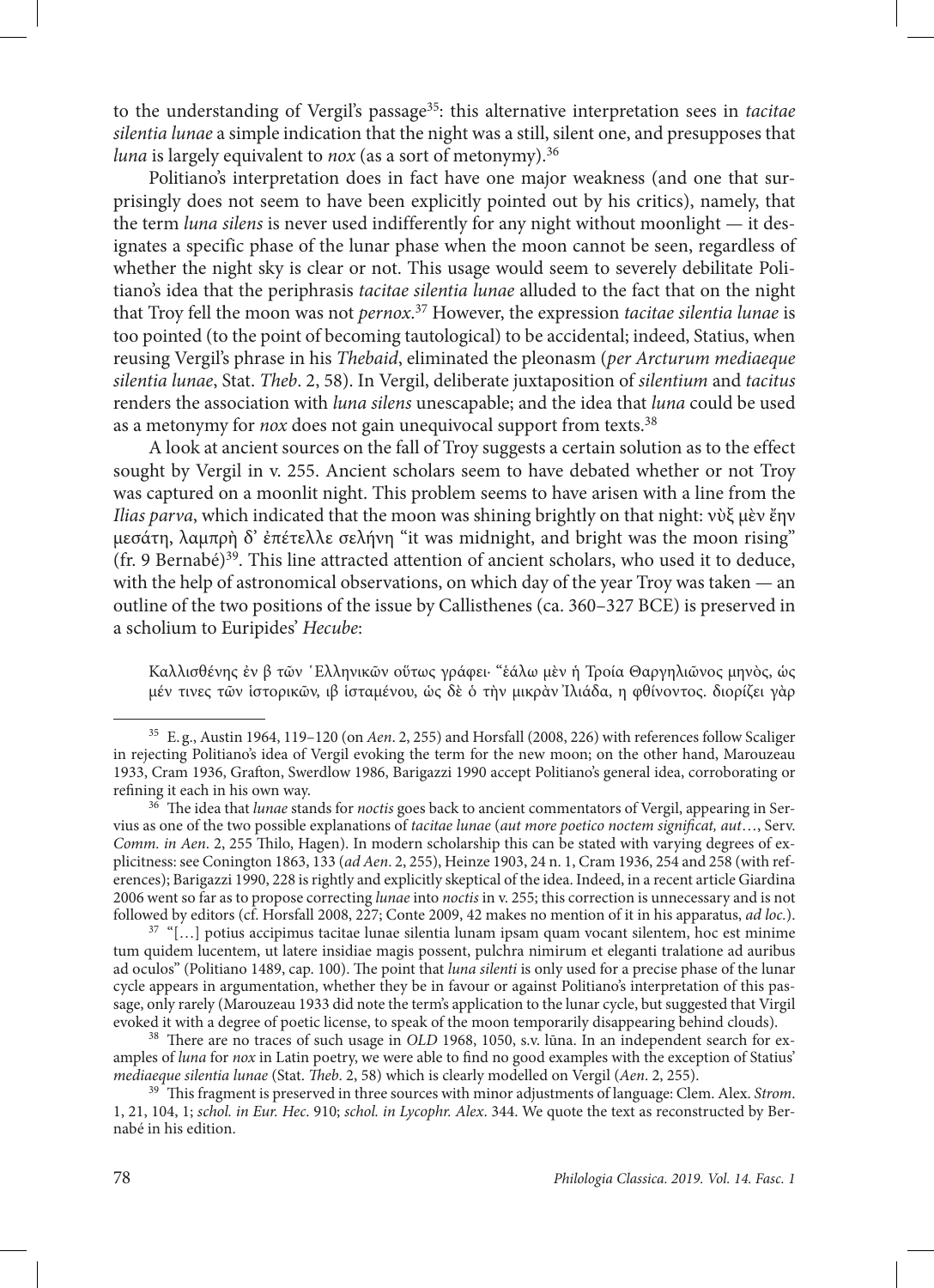to the understanding of Vergil's passage35: this alternative interpretation sees in *tacitae silentia lunae* a simple indication that the night was a still, silent one, and presupposes that *luna* is largely equivalent to *nox* (as a sort of metonymy).<sup>36</sup>

Politiano's interpretation does in fact have one major weakness (and one that surprisingly does not seem to have been explicitly pointed out by his critics), namely, that the term *luna silens* is never used indifferently for any night without moonlight — it designates a specific phase of the lunar phase when the moon cannot be seen, regardless of whether the night sky is clear or not. This usage would seem to severely debilitate Politiano's idea that the periphrasis *tacitae silentia lunae* alluded to the fact that on the night that Troy fell the moon was not *pernox*. 37 However, the expression *tacitae silentia lunae* is too pointed (to the point of becoming tautological) to be accidental; indeed, Statius, when reusing Vergil's phrase in his *Thebaid*, eliminated the pleonasm (*per Arcturum mediaeque silentia lunae*, Stat. *Theb*. 2, 58). In Vergil, deliberate juxtaposition of *silentium* and *tacitus* renders the association with *luna silens* unescapable; and the idea that *luna* could be used as a metonymy for *nox* does not gain unequivocal support from texts.<sup>38</sup>

A look at ancient sources on the fall of Troy suggests a certain solution as to the effect sought by Vergil in v. 255. Ancient scholars seem to have debated whether or not Troy was captured on a moonlit night. This problem seems to have arisen with a line from the *Ilias parva*, which indicated that the moon was shining brightly on that night: νὺξ μὲν ἔην μεσάτη, λαμπρὴ δ' ἐπέτελλε σελήνη "it was midnight, and bright was the moon rising"  $(\text{fr. 9}$  Bernabé)<sup>39</sup>. This line attracted attention of ancient scholars, who used it to deduce, with the help of astronomical observations, on which day of the year Troy was taken — an outline of the two positions of the issue by Callisthenes (ca. 360–327 BCE) is preserved in a scholium to Euripides' *Hecube*:

Καλλισθένης ἐν β τῶν ῾Ελληνικῶν οὕτως γράφει· "ἑάλω μὲν ἡ Τροία Θαργηλιῶνος μηνὸς, ὡς μέν τινες τῶν ἱστορικῶν, ιβ ἱσταμένου, ὡς δὲ ὁ τὴν μικρὰν Ἰλιάδα, η φθίνοντος. διορίζει γὰρ

<sup>36</sup> The idea that *lunae* stands for *noctis* goes back to ancient commentators of Vergil, appearing in Servius as one of the two possible explanations of *tacitae lunae* (*aut more poetico noctem significat, aut*…, Serv. *Comm. in Aen*. 2, 255 Thilo, Hagen). In modern scholarship this can be stated with varying degrees of explicitness: see Conington 1863, 133 (*ad Aen*. 2, 255), Heinze 1903, 24 n. 1, Cram 1936, 254 and 258 (with references); Barigazzi 1990, 228 is rightly and explicitly skeptical of the idea. Indeed, in a recent article Giardina 2006 went so far as to propose correcting *lunae* into *noctis* in v. 255; this correction is unnecessary and is not followed by editors (cf. Horsfall 2008, 227; Conte 2009, 42 makes no mention of it in his apparatus, *ad loc.*).

 $37$  "[...] potius accipimus tacitae lunae silentia lunam ipsam quam vocant silentem, hoc est minime tum quidem lucentem, ut latere insidiae magis possent, pulchra nimirum et eleganti tralatione ad auribus ad oculos" (Politiano 1489, cap. 100). The point that *luna silenti* is only used for a precise phase of the lunar cycle appears in argumentation, whether they be in favour or against Politiano's interpretation of this passage, only rarely (Marouzeau 1933 did note the term's application to the lunar cycle, but suggested that Virgil evoked it with a degree of poetic license, to speak of the moon temporarily disappearing behind clouds).

<sup>38</sup> There are no traces of such usage in *OLD* 1968, 1050, s.v. lūna. In an independent search for examples of *luna* for *nox* in Latin poetry, we were able to find no good examples with the exception of Statius' mediaeque silentia lunae (Stat. Theb. 2, 58) which is clearly modelled on Vergil (Aen. 2, 255).

 $39$ <sup>-</sup>This fragment is preserved in three sources with minor adjustments of language: Clem. Alex. Strom. 1, 21, 104, 1; *schol. in Eur. Hec*. 910; *schol. in Lycophr. Alex*. 344. We quote the text as reconstructed by Bernabé in his edition.

<sup>35</sup> E. g., Austin 1964, 119–120 (on *Aen*. 2, 255) and Horsfall (2008, 226) with references follow Scaliger in rejecting Politiano's idea of Vergil evoking the term for the new moon; on the other hand, Marouzeau 1933, Cram 1936, Grafton, Swerdlow 1986, Barigazzi 1990 accept Politiano's general idea, corroborating or refining it each in his own way.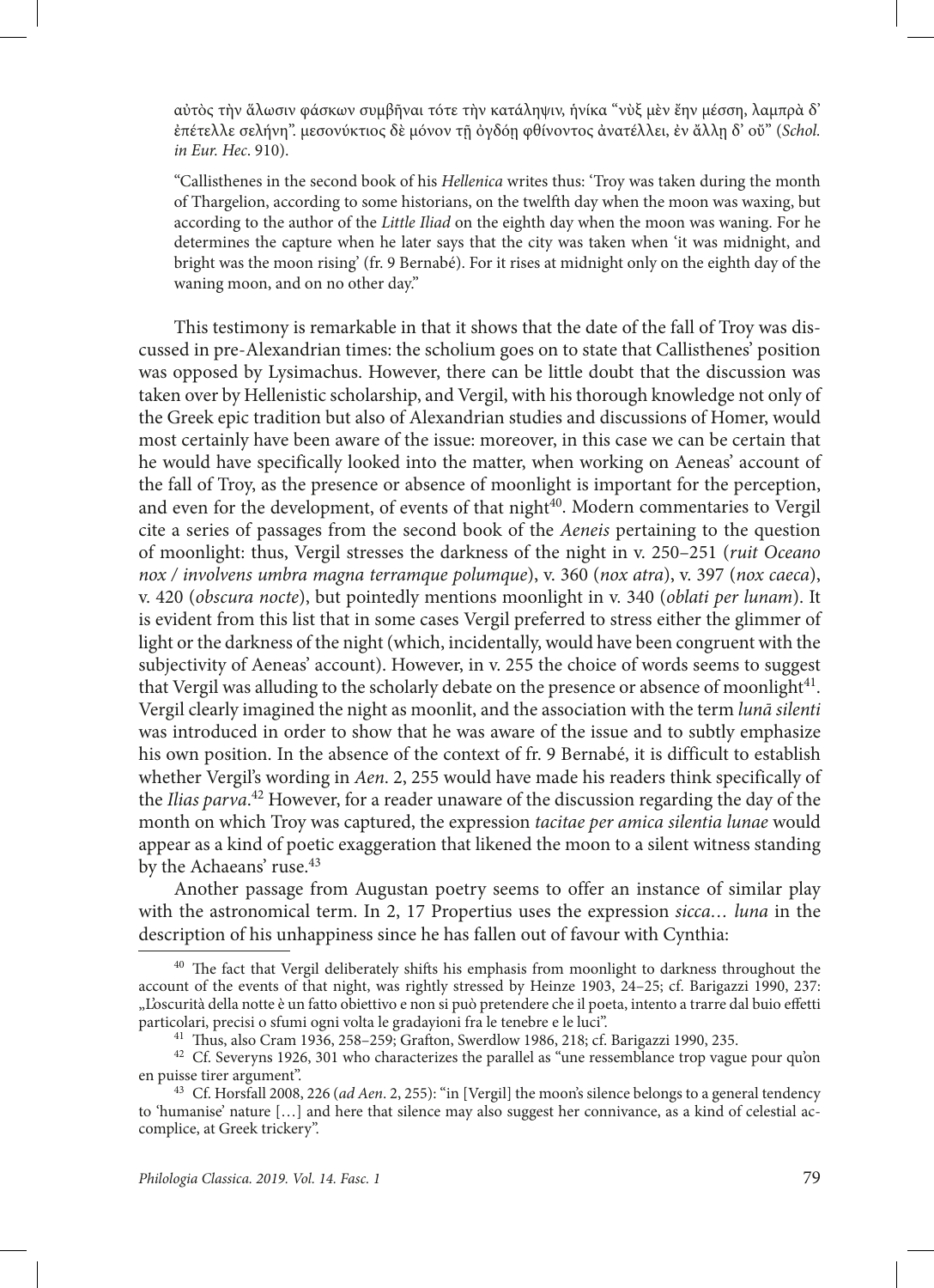αὐτὸς τὴν ἅλωσιν φάσκων συμβῆναι τότε τὴν κατάληψιν, ἡνίκα "νὺξ μὲν ἔην μέσση, λαμπρὰ δ' ἐπέτελλε σελήνη". μεσονύκτιος δὲ μόνον τῇ ὀγδόῃ φθίνοντος ἀνατέλλει, ἐν ἄλλῃ δ' οὔ" (*Schol. in Eur. Hec*. 910).

"Callisthenes in the second book of his *Hellenica* writes thus: 'Troy was taken during the month of Thargelion, according to some historians, on the twelfth day when the moon was waxing, but according to the author of the *Little Iliad* on the eighth day when the moon was waning. For he determines the capture when he later says that the city was taken when 'it was midnight, and bright was the moon rising' (fr. 9 Bernabé). For it rises at midnight only on the eighth day of the waning moon, and on no other day."

This testimony is remarkable in that it shows that the date of the fall of Troy was discussed in pre-Alexandrian times: the scholium goes on to state that Callisthenes' position was opposed by Lysimachus. However, there can be little doubt that the discussion was taken over by Hellenistic scholarship, and Vergil, with his thorough knowledge not only of the Greek epic tradition but also of Alexandrian studies and discussions of Homer, would most certainly have been aware of the issue: moreover, in this case we can be certain that he would have specifically looked into the matter, when working on Aeneas' account of the fall of Troy, as the presence or absence of moonlight is important for the perception, and even for the development, of events of that night<sup>40</sup>. Modern commentaries to Vergil cite a series of passages from the second book of the *Aeneis* pertaining to the question of moonlight: thus, Vergil stresses the darkness of the night in v. 250–251 (*ruit Oceano nox / involvens umbra magna terramque polumque*), v. 360 (*nox atra*), v. 397 (*nox caeca*), v. 420 (*obscura nocte*), but pointedly mentions moonlight in v. 340 (*oblati per lunam*). It is evident from this list that in some cases Vergil preferred to stress either the glimmer of light or the darkness of the night (which, incidentally, would have been congruent with the subjectivity of Aeneas' account). However, in v. 255 the choice of words seems to suggest that Vergil was alluding to the scholarly debate on the presence or absence of moonlight41. Vergil clearly imagined the night as moonlit, and the association with the term *lunā silenti* was introduced in order to show that he was aware of the issue and to subtly emphasize his own position. In the absence of the context of fr. 9 Bernabé, it is difficult to establish whether Vergil's wording in *Aen*. 2, 255 would have made his readers think specifically of the *Ilias parva*. 42 However, for a reader unaware of the discussion regarding the day of the month on which Troy was captured, the expression *tacitae per amica silentia lunae* would appear as a kind of poetic exaggeration that likened the moon to a silent witness standing by the Achaeans' ruse.<sup>43</sup>

Another passage from Augustan poetry seems to offer an instance of similar play with the astronomical term. In 2, 17 Propertius uses the expression *sicca… luna* in the description of his unhappiness since he has fallen out of favour with Cynthia:

<sup>&</sup>lt;sup>40</sup> The fact that Vergil deliberately shifts his emphasis from moonlight to darkness throughout the account of the events of that night, was rightly stressed by Heinze 1903, 24–25; cf. Barigazzi 1990, 237: "L'oscurità della notte è un fatto obiettivo e non si può pretendere che il poeta, intento a trarre dal buio effetti particolari, precisi o sfumi ogni volta le gradayioni fra le tenebre e le luci".

<sup>41</sup> Thus, also Cram 1936, 258–259; Grafton, Swerdlow 1986, 218; cf. Barigazzi 1990, 235.

<sup>&</sup>lt;sup>42</sup> Cf. Severyns 1926, 301 who characterizes the parallel as "une ressemblance trop vague pour qu'on en puisse tirer argument".

<sup>43</sup> Cf. Horsfall 2008, 226 (*ad Aen*. 2, 255): "in [Vergil] the moon's silence belongs to a general tendency to 'humanise' nature […] and here that silence may also suggest her connivance, as a kind of celestial accomplice, at Greek trickery".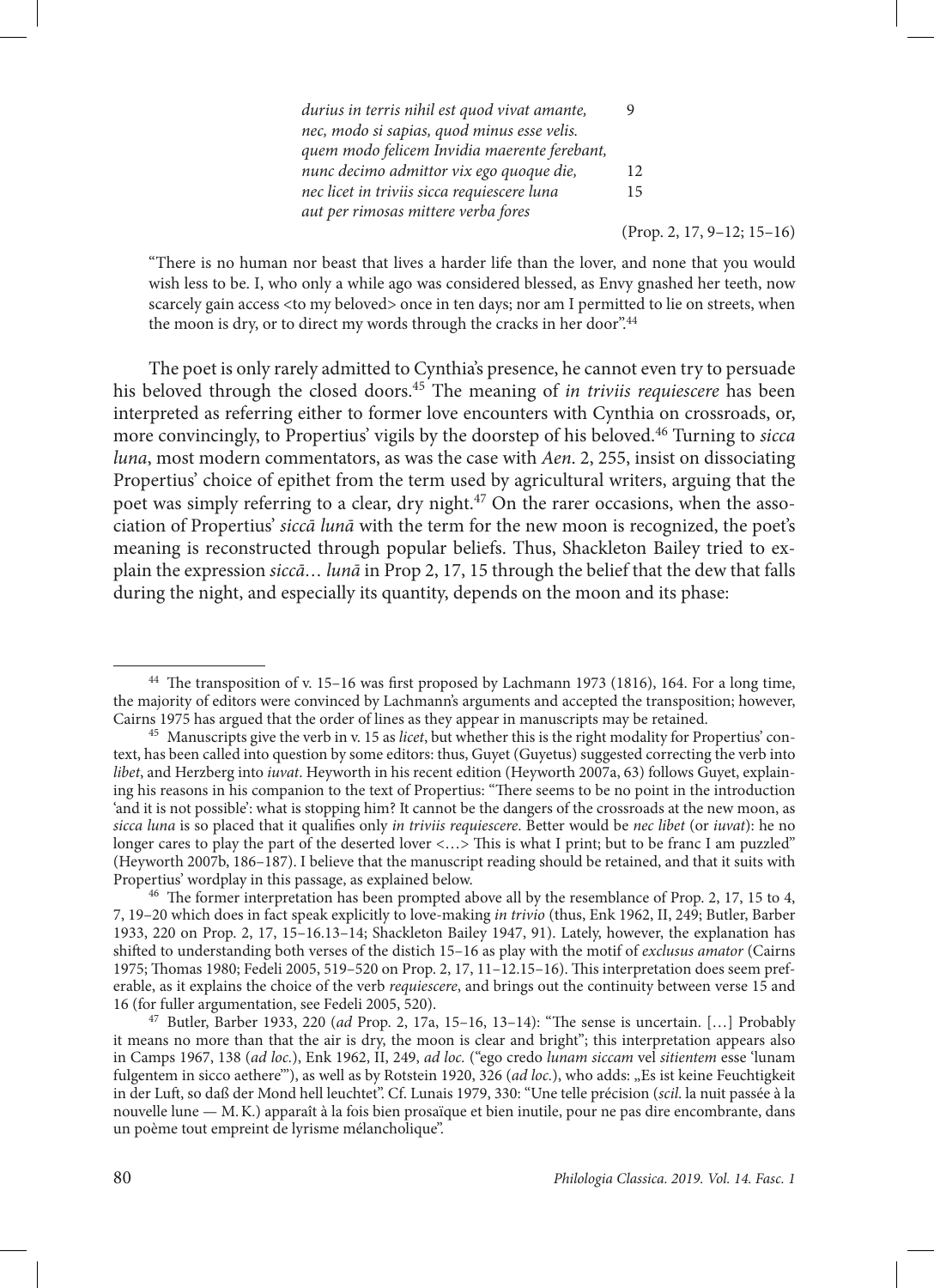| durius in terris nihil est quod vivat amante, |    |
|-----------------------------------------------|----|
| nec, modo si sapias, quod minus esse velis.   |    |
| quem modo felicem Invidia maerente ferebant,  |    |
| nunc decimo admittor vix ego quoque die,      | 12 |
| nec licet in triviis sicca requiescere luna   | 15 |
| aut per rimosas mittere verba fores           |    |

(Prop. 2, 17, 9–12; 15–16)

"There is no human nor beast that lives a harder life than the lover, and none that you would wish less to be. I, who only a while ago was considered blessed, as Envy gnashed her teeth, now scarcely gain access <to my beloved> once in ten days; nor am I permitted to lie on streets, when the moon is dry, or to direct my words through the cracks in her door".<sup>44</sup>

The poet is only rarely admitted to Cynthia's presence, he cannot even try to persuade his beloved through the closed doors.45 The meaning of *in triviis requiescere* has been interpreted as referring either to former love encounters with Cynthia on crossroads, or, more convincingly, to Propertius' vigils by the doorstep of his beloved.46 Turning to *sicca luna*, most modern commentators, as was the case with *Aen*. 2, 255, insist on dissociating Propertius' choice of epithet from the term used by agricultural writers, arguing that the poet was simply referring to a clear, dry night.<sup>47</sup> On the rarer occasions, when the association of Propertius' *siccā lunā* with the term for the new moon is recognized, the poet's meaning is reconstructed through popular beliefs. Thus, Shackleton Bailey tried to explain the expression *siccā… lunā* in Prop 2, 17, 15 through the belief that the dew that falls during the night, and especially its quantity, depends on the moon and its phase:

<sup>44</sup> The transposition of v. 15–16 was first proposed by Lachmann 1973 (1816), 164. For a long time, the majority of editors were convinced by Lachmann's arguments and accepted the transposition; however, Cairns 1975 has argued that the order of lines as they appear in manuscripts may be retained.

<sup>45</sup> Manuscripts give the verb in v. 15 as *licet*, but whether this is the right modality for Propertius' context, has been called into question by some editors: thus, Guyet (Guyetus) suggested correcting the verb into *libet*, and Herzberg into *iuvat*. Heyworth in his recent edition (Heyworth 2007a, 63) follows Guyet, explaining his reasons in his companion to the text of Propertius: "There seems to be no point in the introduction 'and it is not possible': what is stopping him? It cannot be the dangers of the crossroads at the new moon, as *sicca luna* is so placed that it qualifies only *in triviis requiescere*. Better would be *nec libet* (or *iuvat*): he no longer cares to play the part of the deserted lover <...> This is what I print; but to be franc I am puzzled" (Heyworth 2007b, 186–187). I believe that the manuscript reading should be retained, and that it suits with Propertius' wordplay in this passage, as explained below.

<sup>46</sup> The former interpretation has been prompted above all by the resemblance of Prop. 2, 17, 15 to 4, 7, 19–20 which does in fact speak explicitly to love-making *in trivio* (thus, Enk 1962, II, 249; Butler, Barber 1933, 220 on Prop. 2, 17, 15–16.13–14; Shackleton Bailey 1947, 91). Lately, however, the explanation has shifted to understanding both verses of the distich 15–16 as play with the motif of *exclusus amator* (Cairns 1975; Thomas 1980; Fedeli 2005, 519–520 on Prop. 2, 17, 11–12.15–16). This interpretation does seem preferable, as it explains the choice of the verb *requiescere*, and brings out the continuity between verse 15 and 16 (for fuller argumentation, see Fedeli 2005, 520).

<sup>47</sup> Butler, Barber 1933, 220 (*ad* Prop. 2, 17a, 15–16, 13–14): "The sense is uncertain. […] Probably it means no more than that the air is dry, the moon is clear and bright"; this interpretation appears also in Camps 1967, 138 (*ad loc.*), Enk 1962, II, 249, *ad loc.* ("ego credo *lunam siccam* vel *sitientem* esse 'lunam fulgentem in sicco aethere"'), as well as by Rotstein 1920, 326 (*ad loc.*), who adds: "Es ist keine Feuchtigkeit in der Luft, so daß der Mond hell leuchtet". Cf. Lunais 1979, 330: "Une telle précision (*scil*. la nuit passée à la nouvelle lune — M.K.) apparaît à la fois bien prosaïque et bien inutile, pour ne pas dire encombrante, dans un poème tout empreint de lyrisme mélancholique".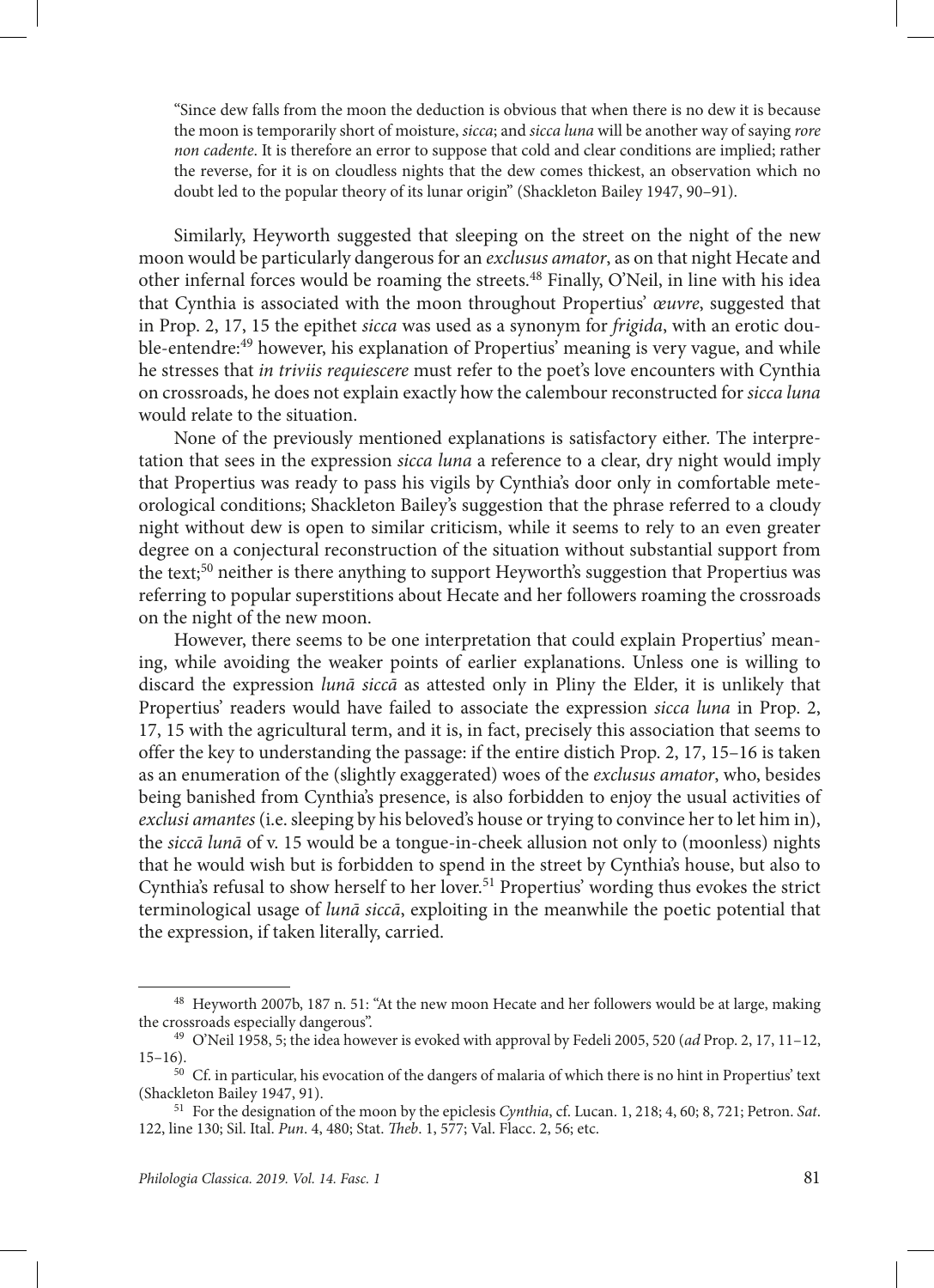"Since dew falls from the moon the deduction is obvious that when there is no dew it is because the moon is temporarily short of moisture, *sicca*; and *sicca luna* will be another way of saying *rore non cadente*. It is therefore an error to suppose that cold and clear conditions are implied; rather the reverse, for it is on cloudless nights that the dew comes thickest, an observation which no doubt led to the popular theory of its lunar origin" (Shackleton Bailey 1947, 90–91).

Similarly, Heyworth suggested that sleeping on the street on the night of the new moon would be particularly dangerous for an *exclusus amator*, as on that night Hecate and other infernal forces would be roaming the streets.48 Finally, O'Neil, in line with his idea that Cynthia is associated with the moon throughout Propertius' *œuvre*, suggested that in Prop. 2, 17, 15 the epithet *sicca* was used as a synonym for *frigida*, with an erotic double-entendre:49 however, his explanation of Propertius' meaning is very vague, and while he stresses that *in triviis requiescere* must refer to the poet's love encounters with Cynthia on crossroads, he does not explain exactly how the calembour reconstructed for *sicca luna* would relate to the situation.

None of the previously mentioned explanations is satisfactory either. The interpretation that sees in the expression *sicca luna* a reference to a clear, dry night would imply that Propertius was ready to pass his vigils by Cynthia's door only in comfortable meteorological conditions; Shackleton Bailey's suggestion that the phrase referred to a cloudy night without dew is open to similar criticism, while it seems to rely to an even greater degree on a conjectural reconstruction of the situation without substantial support from the text;<sup>50</sup> neither is there anything to support Heyworth's suggestion that Propertius was referring to popular superstitions about Hecate and her followers roaming the crossroads on the night of the new moon.

However, there seems to be one interpretation that could explain Propertius' meaning, while avoiding the weaker points of earlier explanations. Unless one is willing to discard the expression *lunā siccā* as attested only in Pliny the Elder, it is unlikely that Propertius' readers would have failed to associate the expression *sicca luna* in Prop. 2, 17, 15 with the agricultural term, and it is, in fact, precisely this association that seems to offer the key to understanding the passage: if the entire distich Prop. 2, 17, 15–16 is taken as an enumeration of the (slightly exaggerated) woes of the *exclusus amator*, who, besides being banished from Cynthia's presence, is also forbidden to enjoy the usual activities of *exclusi amantes* (i.e. sleeping by his beloved's house or trying to convince her to let him in), the *siccā lunā* of v. 15 would be a tongue-in-cheek allusion not only to (moonless) nights that he would wish but is forbidden to spend in the street by Cynthia's house, but also to Cynthia's refusal to show herself to her lover.<sup>51</sup> Propertius' wording thus evokes the strict terminological usage of *lunā siccā*, exploiting in the meanwhile the poetic potential that the expression, if taken literally, carried.

<sup>48</sup> Heyworth 2007b, 187 n. 51: "At the new moon Hecate and her followers would be at large, making the crossroads especially dangerous".

<sup>49</sup> O'Neil 1958, 5; the idea however is evoked with approval by Fedeli 2005, 520 (*ad* Prop. 2, 17, 11–12, 15–16).

<sup>50</sup> Cf. in particular, his evocation of the dangers of malaria of which there is no hint in Propertius' text (Shackleton Bailey 1947, 91).

<sup>51</sup> For the designation of the moon by the epiclesis *Cynthia*, cf. Lucan. 1, 218; 4, 60; 8, 721; Petron. *Sat*. 122, line 130; Sil. Ital. *Pun*. 4, 480; Stat. *Theb*. 1, 577; Val. Flacc. 2, 56; etc.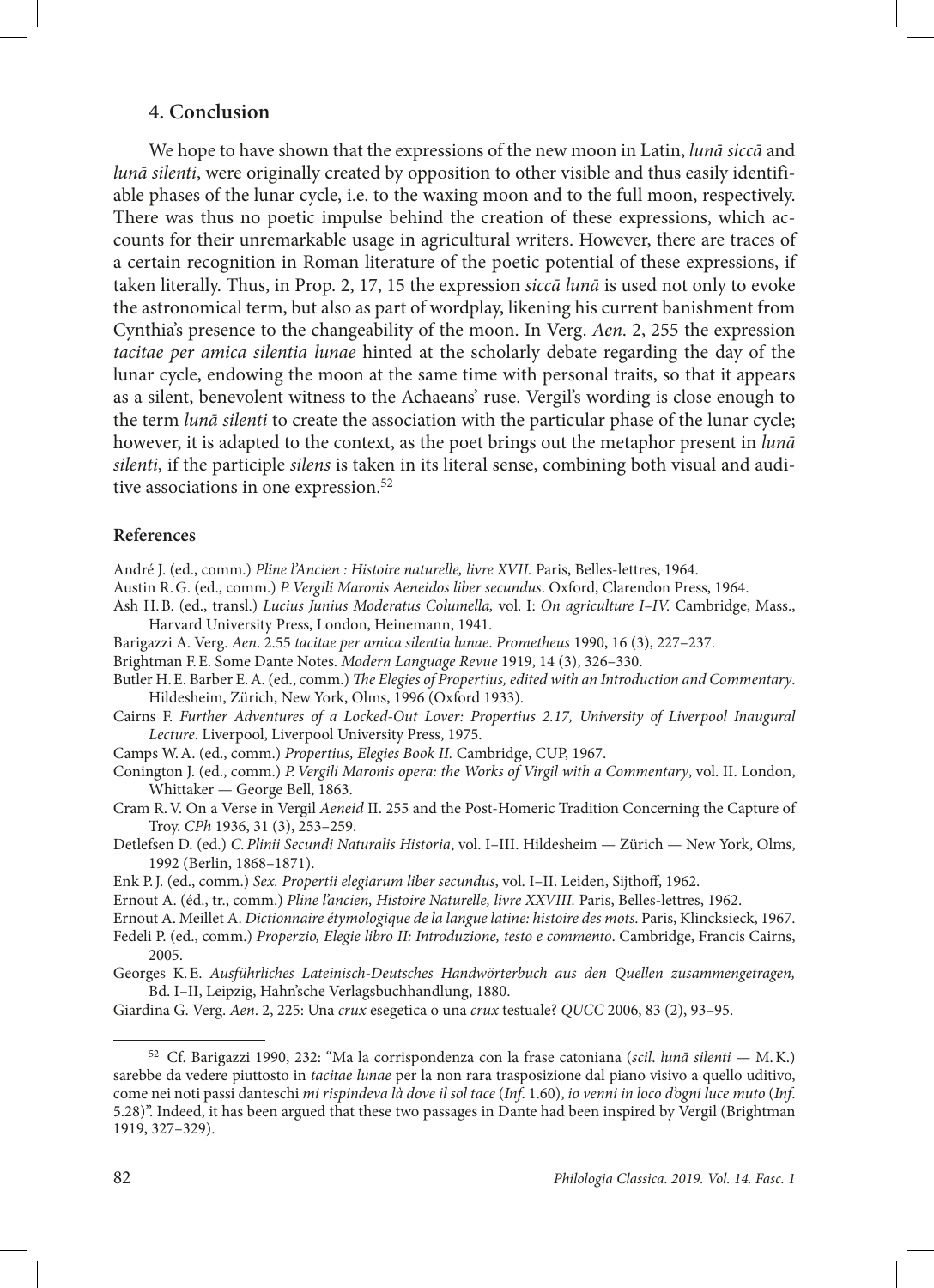### **4. Conclusion**

We hope to have shown that the expressions of the new moon in Latin, *lunā siccā* and *lunā silenti*, were originally created by opposition to other visible and thus easily identifiable phases of the lunar cycle, i.e. to the waxing moon and to the full moon, respectively. There was thus no poetic impulse behind the creation of these expressions, which accounts for their unremarkable usage in agricultural writers. However, there are traces of a certain recognition in Roman literature of the poetic potential of these expressions, if taken literally. Thus, in Prop. 2, 17, 15 the expression *siccā lunā* is used not only to evoke the astronomical term, but also as part of wordplay, likening his current banishment from Cynthia's presence to the changeability of the moon. In Verg. *Aen*. 2, 255 the expression *tacitae per amica silentia lunae* hinted at the scholarly debate regarding the day of the lunar cycle, endowing the moon at the same time with personal traits, so that it appears as a silent, benevolent witness to the Achaeans' ruse. Vergil's wording is close enough to the term *lunā silenti* to create the association with the particular phase of the lunar cycle; however, it is adapted to the context, as the poet brings out the metaphor present in *lunā silenti*, if the participle *silens* is taken in its literal sense, combining both visual and auditive associations in one expression.<sup>52</sup>

#### **References**

- André J. (ed., comm.) *Pline l'Ancien : Histoire naturelle, livre XVII.* Paris, Belles-lettres, 1964.
- Austin R.G. (ed., comm.) *P.Vergili Maronis Aeneidos liber secundus*. Oxford, Clarendon Press, 1964.
- Ash H.B. (ed., transl.) *Lucius Junius Moderatus Columella,* vol. I: *On agriculture I–IV.* Cambridge, Mass., Harvard University Press, London, Heinemann, 1941.
- Barigazzi A. Verg. *Aen*. 2.55 *tacitae per amica silentia lunae*. *Prometheus* 1990, 16 (3), 227–237.
- Brightman F.E. Some Dante Notes. *Modern Language Revue* 1919, 14 (3), 326–330.
- Butler H.E. Barber E.A. (ed., comm.) *The Elegies of Propertius, edited with an Introduction and Commentary*. Hildesheim, Zürich, New York, Olms, 1996 (Oxford 1933).
- Cairns F. *Further Adventures of a Locked-Out Lover: Propertius 2.17, University of Liverpool Inaugural Lecture*. Liverpool, Liverpool University Press, 1975.
- Camps W.A. (ed., comm.) *Propertius, Elegies Book II.* Cambridge, CUP, 1967.
- Conington J. (ed., comm.) *P.Vergili Maronis opera: the Works of Virgil with a Commentary*, vol. II. London, Whittaker — George Bell, 1863.
- Cram R.V. On a Verse in Vergil *Aeneid* II. 255 and the Post-Homeric Tradition Concerning the Capture of Troy. *CPh* 1936, 31 (3), 253–259.
- Detlefsen D. (ed.) *C.Plinii Secundi Naturalis Historia*, vol. I–III. Hildesheim Zürich New York, Olms, 1992 (Berlin, 1868–1871).
- Enk P.J. (ed., comm.) *Sex. Propertii elegiarum liber secundus*, vol. I–II. Leiden, Sijthoff, 1962.
- Ernout A. (éd., tr., comm.) *Pline l'ancien, Histoire Naturelle, livre XXVIII.* Paris, Belles-lettres, 1962.
- Ernout A. Meillet A. *Dictionnaire étymologique de la langue latine: histoire des mots*. Paris, Klincksieck, 1967.
- Fedeli P. (ed., comm.) *Properzio, Elegie libro II: Introduzione, testo e commento*. Cambridge, Francis Cairns, 2005.
- Georges K.E. *Ausführliches Lateinisch-Deutsches Handwörterbuch aus den Quellen zusammengetragen,*  Bd. I–II, Leipzig, Hahn'sche Verlagsbuchhandlung, 1880.
- Giardina G. Verg. *Aen*. 2, 225: Una *crux* esegetica o una *crux* testuale? *QUCC* 2006, 83 (2), 93–95.

<sup>52</sup> Cf. Barigazzi 1990, 232: "Ma la corrispondenza con la frase catoniana (*scil*. *lunā silenti —* M.K.) sarebbe da vedere piuttosto in *tacitae lunae* per la non rara trasposizione dal piano visivo a quello uditivo, come nei noti passi danteschi *mi rispindeva là dove il sol tace* (*Inf*. 1.60), *io venni in loco d'ogni luce muto* (*Inf*. 5.28)". Indeed, it has been argued that these two passages in Dante had been inspired by Vergil (Brightman 1919, 327–329).